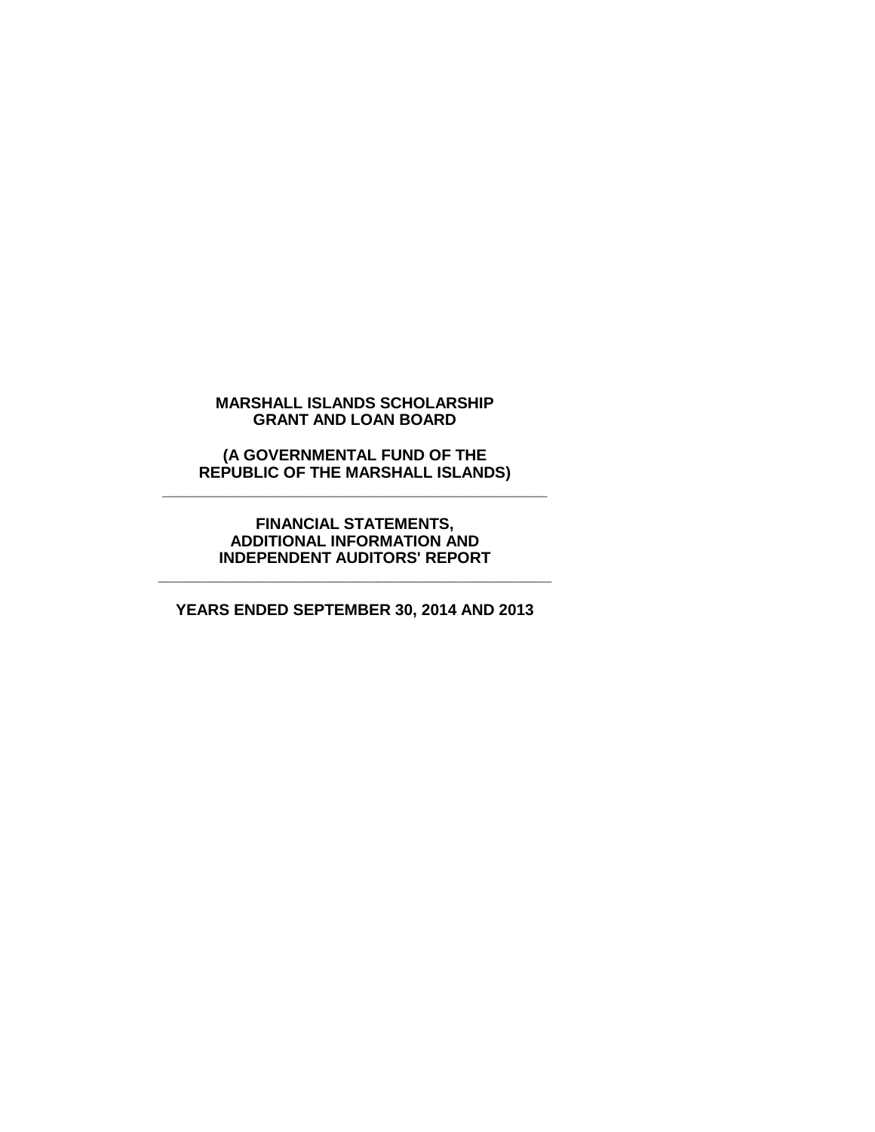**(A GOVERNMENTAL FUND OF THE REPUBLIC OF THE MARSHALL ISLANDS) \_\_\_\_\_\_\_\_\_\_\_\_\_\_\_\_\_\_\_\_\_\_\_\_\_\_\_\_\_\_\_\_\_\_\_\_\_\_\_\_\_\_\_\_**

### **FINANCIAL STATEMENTS, ADDITIONAL INFORMATION AND INDEPENDENT AUDITORS' REPORT**

## **YEARS ENDED SEPTEMBER 30, 2014 AND 2013**

**\_\_\_\_\_\_\_\_\_\_\_\_\_\_\_\_\_\_\_\_\_\_\_\_\_\_\_\_\_\_\_\_\_\_\_\_\_\_\_\_\_\_\_\_\_**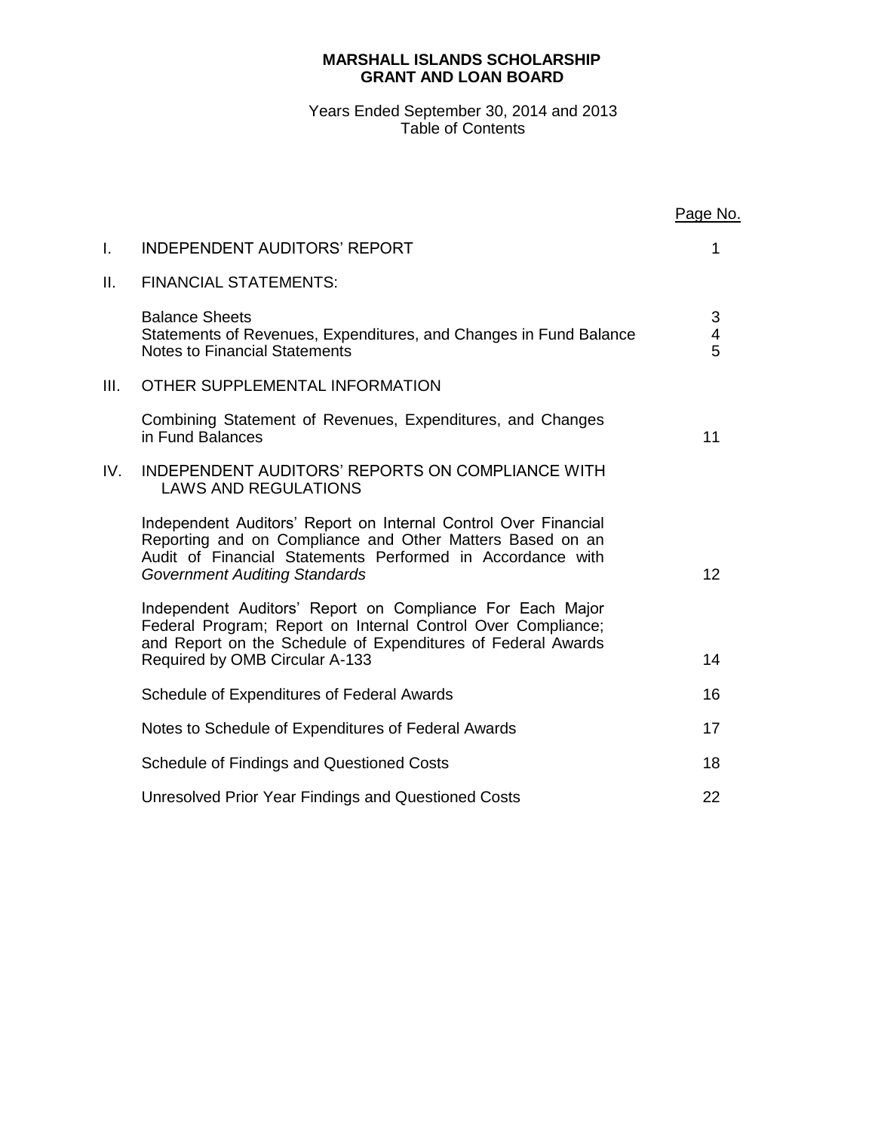## Years Ended September 30, 2014 and 2013 Table of Contents

|      |                                                                                                                                                                                                                                    | Page No.    |
|------|------------------------------------------------------------------------------------------------------------------------------------------------------------------------------------------------------------------------------------|-------------|
| I.   | <b>INDEPENDENT AUDITORS' REPORT</b>                                                                                                                                                                                                | 1           |
| Ш.   | <b>FINANCIAL STATEMENTS:</b>                                                                                                                                                                                                       |             |
|      | <b>Balance Sheets</b><br>Statements of Revenues, Expenditures, and Changes in Fund Balance<br><b>Notes to Financial Statements</b>                                                                                                 | 3<br>4<br>5 |
| III. | OTHER SUPPLEMENTAL INFORMATION                                                                                                                                                                                                     |             |
|      | Combining Statement of Revenues, Expenditures, and Changes<br>in Fund Balances                                                                                                                                                     | 11          |
| IV.  | INDEPENDENT AUDITORS' REPORTS ON COMPLIANCE WITH<br><b>LAWS AND REGULATIONS</b>                                                                                                                                                    |             |
|      | Independent Auditors' Report on Internal Control Over Financial<br>Reporting and on Compliance and Other Matters Based on an<br>Audit of Financial Statements Performed in Accordance with<br><b>Government Auditing Standards</b> | 12          |
|      | Independent Auditors' Report on Compliance For Each Major<br>Federal Program; Report on Internal Control Over Compliance;<br>and Report on the Schedule of Expenditures of Federal Awards<br>Required by OMB Circular A-133        | 14          |
|      | Schedule of Expenditures of Federal Awards                                                                                                                                                                                         | 16          |
|      | Notes to Schedule of Expenditures of Federal Awards                                                                                                                                                                                | 17          |
|      | Schedule of Findings and Questioned Costs                                                                                                                                                                                          | 18          |
|      | Unresolved Prior Year Findings and Questioned Costs                                                                                                                                                                                | 22          |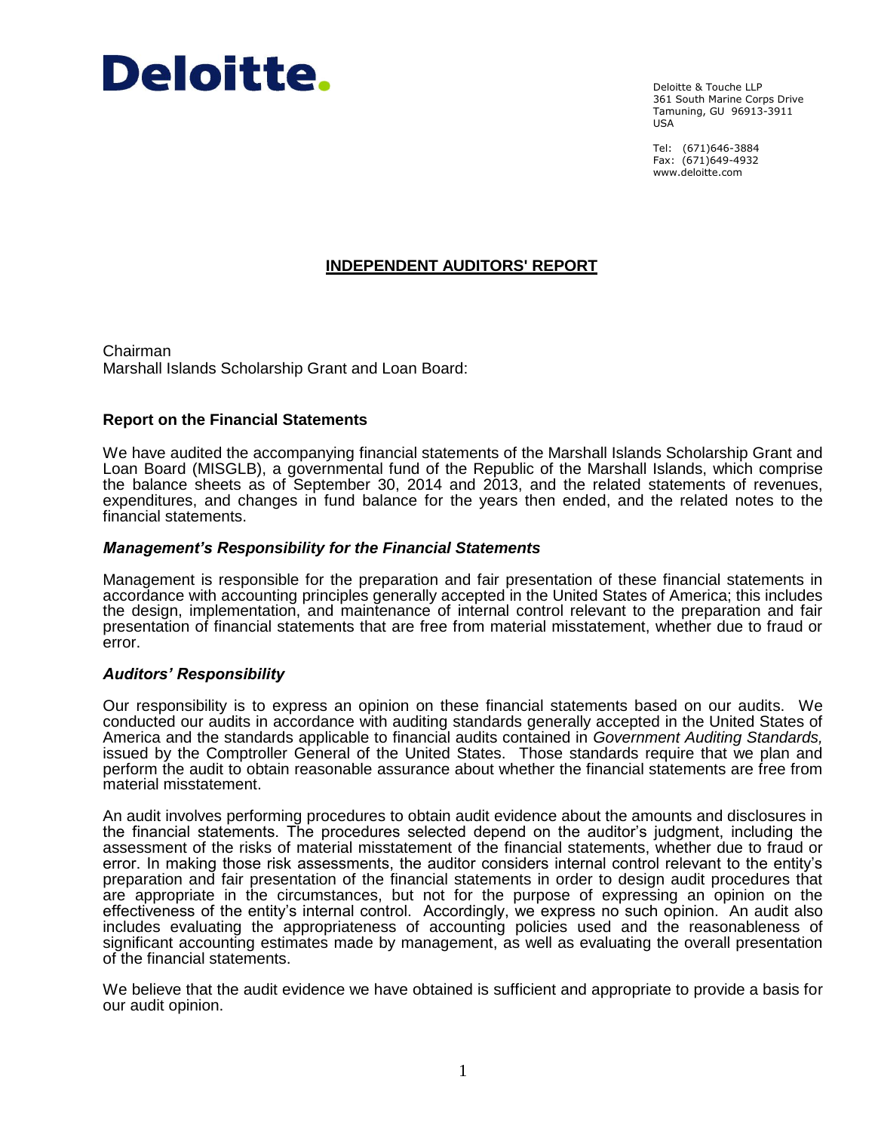

Deloitte & Touche LLP 361 South Marine Corps Drive Tamuning, GU 96913-3911 USA

Tel: (671)646-3884 Fax: (671)649-4932 www.deloitte.com

# **INDEPENDENT AUDITORS' REPORT**

Chairman Marshall Islands Scholarship Grant and Loan Board:

## **Report on the Financial Statements**

We have audited the accompanying financial statements of the Marshall Islands Scholarship Grant and Loan Board (MISGLB), a governmental fund of the Republic of the Marshall Islands, which comprise the balance sheets as of September 30, 2014 and 2013, and the related statements of revenues, expenditures, and changes in fund balance for the years then ended, and the related notes to the financial statements.

#### *Management's Responsibility for the Financial Statements*

Management is responsible for the preparation and fair presentation of these financial statements in accordance with accounting principles generally accepted in the United States of America; this includes the design, implementation, and maintenance of internal control relevant to the preparation and fair presentation of financial statements that are free from material misstatement, whether due to fraud or error.

#### *Auditors' Responsibility*

Our responsibility is to express an opinion on these financial statements based on our audits. We conducted our audits in accordance with auditing standards generally accepted in the United States of America and the standards applicable to financial audits contained in *Government Auditing Standards,* issued by the Comptroller General of the United States. Those standards require that we plan and perform the audit to obtain reasonable assurance about whether the financial statements are free from material misstatement.

An audit involves performing procedures to obtain audit evidence about the amounts and disclosures in the financial statements. The procedures selected depend on the auditor's judgment, including the assessment of the risks of material misstatement of the financial statements, whether due to fraud or error. In making those risk assessments, the auditor considers internal control relevant to the entity's preparation and fair presentation of the financial statements in order to design audit procedures that are appropriate in the circumstances, but not for the purpose of expressing an opinion on the effectiveness of the entity's internal control. Accordingly, we express no such opinion. An audit also includes evaluating the appropriateness of accounting policies used and the reasonableness of significant accounting estimates made by management, as well as evaluating the overall presentation of the financial statements.

We believe that the audit evidence we have obtained is sufficient and appropriate to provide a basis for our audit opinion.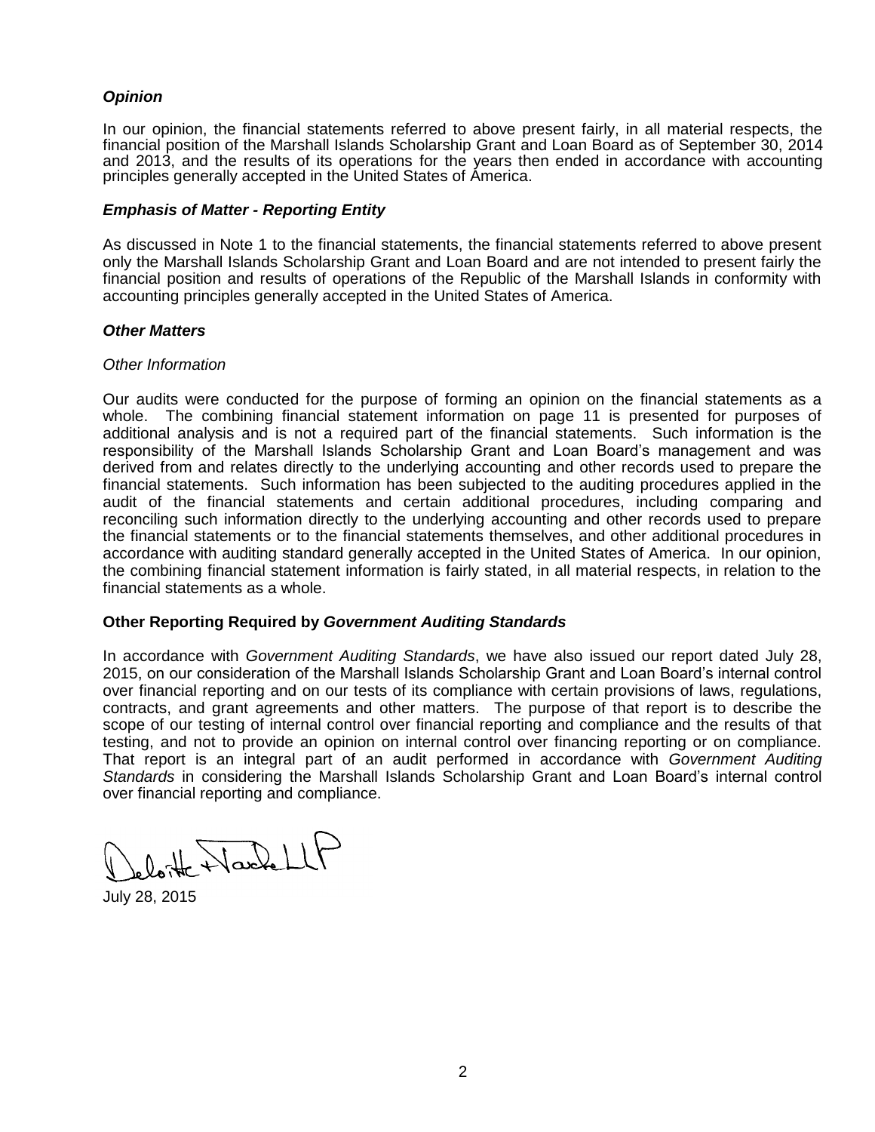# *Opinion*

In our opinion, the financial statements referred to above present fairly, in all material respects, the financial position of the Marshall Islands Scholarship Grant and Loan Board as of September 30, 2014 and 2013, and the results of its operations for the years then ended in accordance with accounting principles generally accepted in the United States of America.

## *Emphasis of Matter - Reporting Entity*

As discussed in Note 1 to the financial statements, the financial statements referred to above present only the Marshall Islands Scholarship Grant and Loan Board and are not intended to present fairly the financial position and results of operations of the Republic of the Marshall Islands in conformity with accounting principles generally accepted in the United States of America.

## *Other Matters*

## *Other Information*

Our audits were conducted for the purpose of forming an opinion on the financial statements as a whole. The combining financial statement information on page 11 is presented for purposes of additional analysis and is not a required part of the financial statements. Such information is the responsibility of the Marshall Islands Scholarship Grant and Loan Board's management and was derived from and relates directly to the underlying accounting and other records used to prepare the financial statements. Such information has been subjected to the auditing procedures applied in the audit of the financial statements and certain additional procedures, including comparing and reconciling such information directly to the underlying accounting and other records used to prepare the financial statements or to the financial statements themselves, and other additional procedures in accordance with auditing standard generally accepted in the United States of America. In our opinion, the combining financial statement information is fairly stated, in all material respects, in relation to the financial statements as a whole.

## **Other Reporting Required by** *Government Auditing Standards*

In accordance with *Government Auditing Standards*, we have also issued our report dated July 28, 2015, on our consideration of the Marshall Islands Scholarship Grant and Loan Board's internal control over financial reporting and on our tests of its compliance with certain provisions of laws, regulations, contracts, and grant agreements and other matters. The purpose of that report is to describe the scope of our testing of internal control over financial reporting and compliance and the results of that testing, and not to provide an opinion on internal control over financing reporting or on compliance. That report is an integral part of an audit performed in accordance with *Government Auditing Standards* in considering the Marshall Islands Scholarship Grant and Loan Board's internal control over financial reporting and compliance.

loite NachellP

July 28, 2015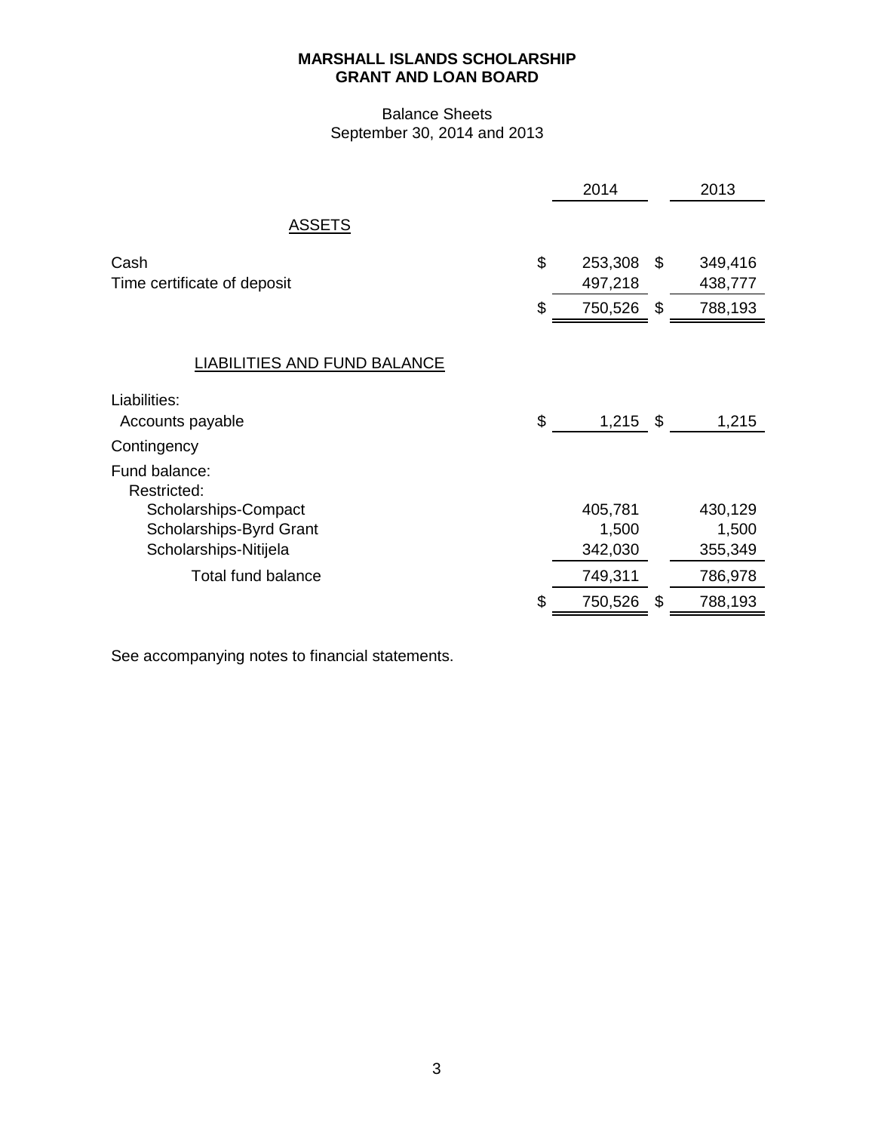# Balance Sheets September 30, 2014 and 2013

|                                     |    | 2014               | 2013                     |
|-------------------------------------|----|--------------------|--------------------------|
| <b>ASSETS</b>                       |    |                    |                          |
| Cash<br>Time certificate of deposit | \$ | 253,308<br>497,218 | \$<br>349,416<br>438,777 |
|                                     | S. | 750,526            | \$<br>788,193            |
| <b>LIABILITIES AND FUND BALANCE</b> |    |                    |                          |
| Liabilities:                        | \$ | $1,215$ \$         |                          |
| Accounts payable<br>Contingency     |    |                    | 1,215                    |
| Fund balance:<br>Restricted:        |    |                    |                          |
| Scholarships-Compact                |    | 405,781            | 430,129                  |
| Scholarships-Byrd Grant             |    | 1,500              | 1,500                    |
| Scholarships-Nitijela               |    | 342,030            | 355,349                  |
| <b>Total fund balance</b>           |    | 749,311            | 786,978                  |
|                                     | S  | 750,526            | \$<br>788,193            |

See accompanying notes to financial statements.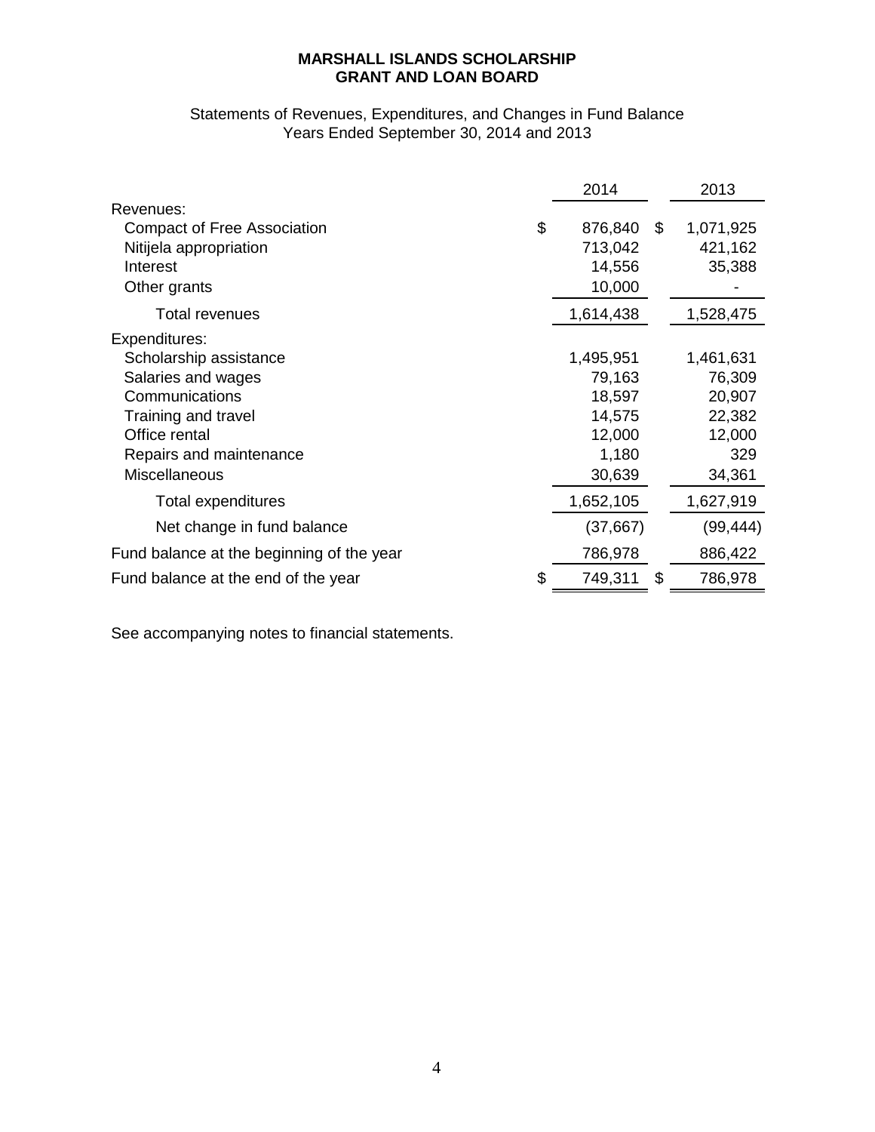# Statements of Revenues, Expenditures, and Changes in Fund Balance Years Ended September 30, 2014 and 2013

|                                           | 2014          | 2013            |
|-------------------------------------------|---------------|-----------------|
| Revenues:                                 |               |                 |
| <b>Compact of Free Association</b>        | \$<br>876,840 | \$<br>1,071,925 |
| Nitijela appropriation                    | 713,042       | 421,162         |
| Interest                                  | 14,556        | 35,388          |
| Other grants                              | 10,000        |                 |
| Total revenues                            | 1,614,438     | 1,528,475       |
| Expenditures:                             |               |                 |
| Scholarship assistance                    | 1,495,951     | 1,461,631       |
| Salaries and wages                        | 79,163        | 76,309          |
| Communications                            | 18,597        | 20,907          |
| Training and travel                       | 14,575        | 22,382          |
| Office rental                             | 12,000        | 12,000          |
| Repairs and maintenance                   | 1,180         | 329             |
| Miscellaneous                             | 30,639        | 34,361          |
| Total expenditures                        | 1,652,105     | 1,627,919       |
| Net change in fund balance                | (37, 667)     | (99, 444)       |
| Fund balance at the beginning of the year | 786,978       | 886,422         |
| Fund balance at the end of the year       | \$<br>749,311 | \$<br>786,978   |

See accompanying notes to financial statements.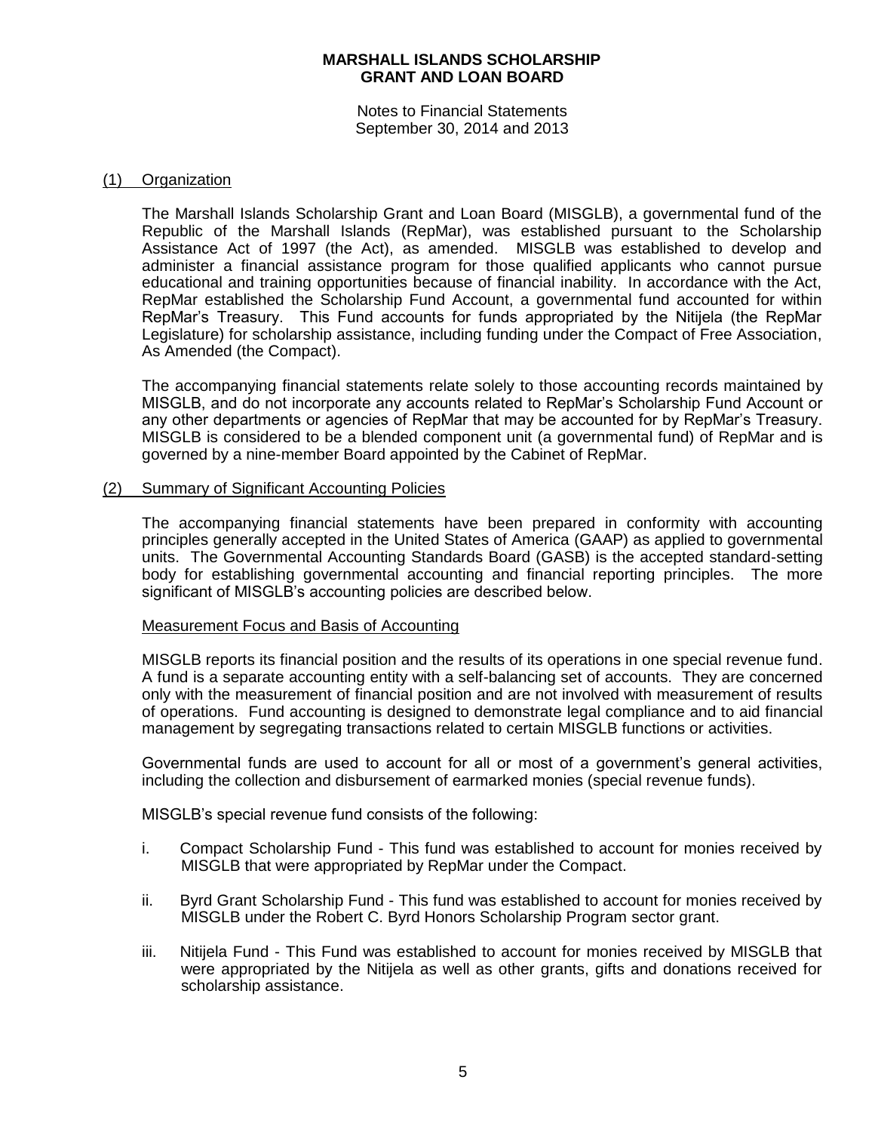Notes to Financial Statements September 30, 2014 and 2013

### (1) Organization

The Marshall Islands Scholarship Grant and Loan Board (MISGLB), a governmental fund of the Republic of the Marshall Islands (RepMar), was established pursuant to the Scholarship Assistance Act of 1997 (the Act), as amended. MISGLB was established to develop and administer a financial assistance program for those qualified applicants who cannot pursue educational and training opportunities because of financial inability. In accordance with the Act, RepMar established the Scholarship Fund Account, a governmental fund accounted for within RepMar's Treasury. This Fund accounts for funds appropriated by the Nitijela (the RepMar Legislature) for scholarship assistance, including funding under the Compact of Free Association, As Amended (the Compact).

The accompanying financial statements relate solely to those accounting records maintained by MISGLB, and do not incorporate any accounts related to RepMar's Scholarship Fund Account or any other departments or agencies of RepMar that may be accounted for by RepMar's Treasury. MISGLB is considered to be a blended component unit (a governmental fund) of RepMar and is governed by a nine-member Board appointed by the Cabinet of RepMar.

## (2) Summary of Significant Accounting Policies

The accompanying financial statements have been prepared in conformity with accounting principles generally accepted in the United States of America (GAAP) as applied to governmental units. The Governmental Accounting Standards Board (GASB) is the accepted standard-setting body for establishing governmental accounting and financial reporting principles. The more significant of MISGLB's accounting policies are described below.

#### Measurement Focus and Basis of Accounting

MISGLB reports its financial position and the results of its operations in one special revenue fund. A fund is a separate accounting entity with a self-balancing set of accounts. They are concerned only with the measurement of financial position and are not involved with measurement of results of operations. Fund accounting is designed to demonstrate legal compliance and to aid financial management by segregating transactions related to certain MISGLB functions or activities.

Governmental funds are used to account for all or most of a government's general activities, including the collection and disbursement of earmarked monies (special revenue funds).

MISGLB's special revenue fund consists of the following:

- i. Compact Scholarship Fund This fund was established to account for monies received by MISGLB that were appropriated by RepMar under the Compact.
- ii. Byrd Grant Scholarship Fund This fund was established to account for monies received by MISGLB under the Robert C. Byrd Honors Scholarship Program sector grant.
- iii. Nitijela Fund This Fund was established to account for monies received by MISGLB that were appropriated by the Nitijela as well as other grants, gifts and donations received for scholarship assistance.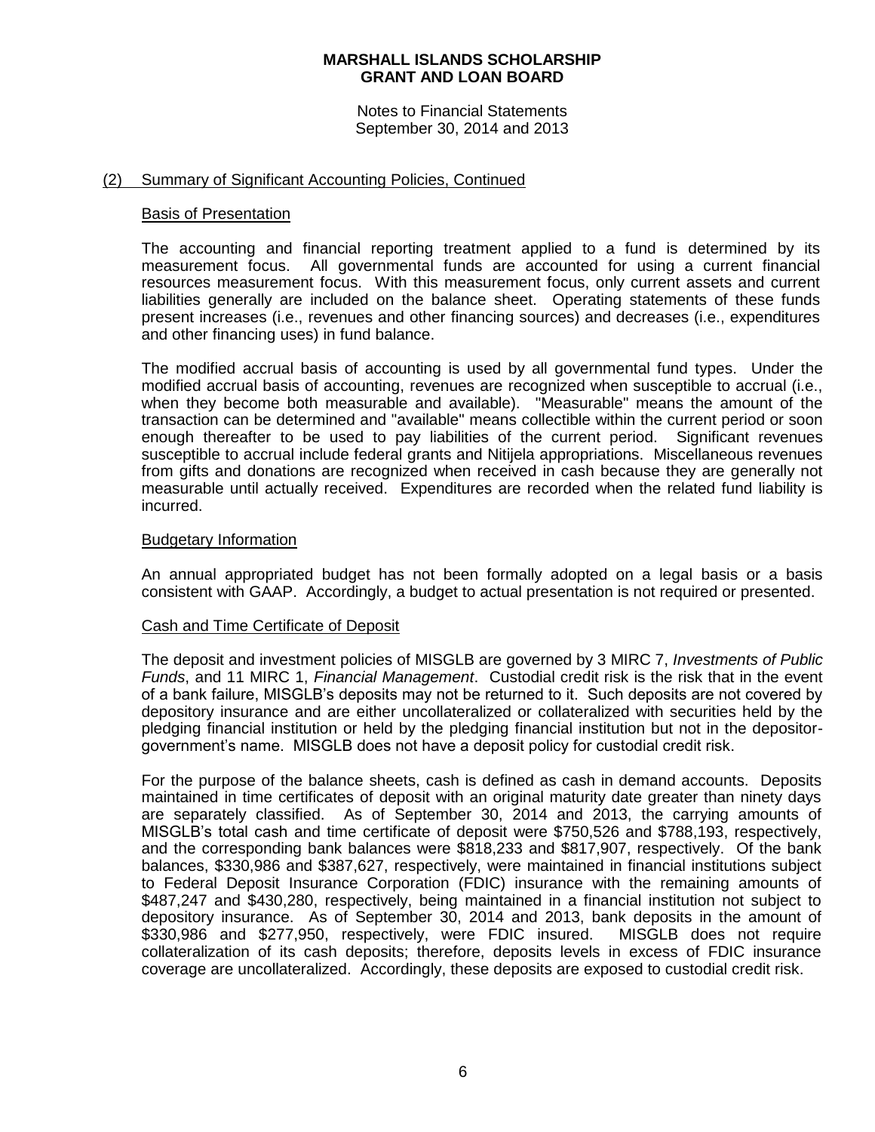Notes to Financial Statements September 30, 2014 and 2013

## (2) Summary of Significant Accounting Policies, Continued

#### Basis of Presentation

The accounting and financial reporting treatment applied to a fund is determined by its measurement focus. All governmental funds are accounted for using a current financial resources measurement focus. With this measurement focus, only current assets and current liabilities generally are included on the balance sheet. Operating statements of these funds present increases (i.e., revenues and other financing sources) and decreases (i.e., expenditures and other financing uses) in fund balance.

The modified accrual basis of accounting is used by all governmental fund types. Under the modified accrual basis of accounting, revenues are recognized when susceptible to accrual (i.e., when they become both measurable and available). "Measurable" means the amount of the transaction can be determined and "available" means collectible within the current period or soon enough thereafter to be used to pay liabilities of the current period. Significant revenues susceptible to accrual include federal grants and Nitijela appropriations. Miscellaneous revenues from gifts and donations are recognized when received in cash because they are generally not measurable until actually received. Expenditures are recorded when the related fund liability is incurred.

#### Budgetary Information

An annual appropriated budget has not been formally adopted on a legal basis or a basis consistent with GAAP. Accordingly, a budget to actual presentation is not required or presented.

#### Cash and Time Certificate of Deposit

The deposit and investment policies of MISGLB are governed by 3 MIRC 7, *Investments of Public Funds*, and 11 MIRC 1, *Financial Management*. Custodial credit risk is the risk that in the event of a bank failure, MISGLB's deposits may not be returned to it. Such deposits are not covered by depository insurance and are either uncollateralized or collateralized with securities held by the pledging financial institution or held by the pledging financial institution but not in the depositorgovernment's name. MISGLB does not have a deposit policy for custodial credit risk.

For the purpose of the balance sheets, cash is defined as cash in demand accounts. Deposits maintained in time certificates of deposit with an original maturity date greater than ninety days are separately classified. As of September 30, 2014 and 2013, the carrying amounts of MISGLB's total cash and time certificate of deposit were \$750,526 and \$788,193, respectively, and the corresponding bank balances were \$818,233 and \$817,907, respectively. Of the bank balances, \$330,986 and \$387,627, respectively, were maintained in financial institutions subject to Federal Deposit Insurance Corporation (FDIC) insurance with the remaining amounts of \$487,247 and \$430,280, respectively, being maintained in a financial institution not subject to depository insurance. As of September 30, 2014 and 2013, bank deposits in the amount of \$330,986 and \$277,950, respectively, were FDIC insured. MISGLB does not require collateralization of its cash deposits; therefore, deposits levels in excess of FDIC insurance coverage are uncollateralized. Accordingly, these deposits are exposed to custodial credit risk.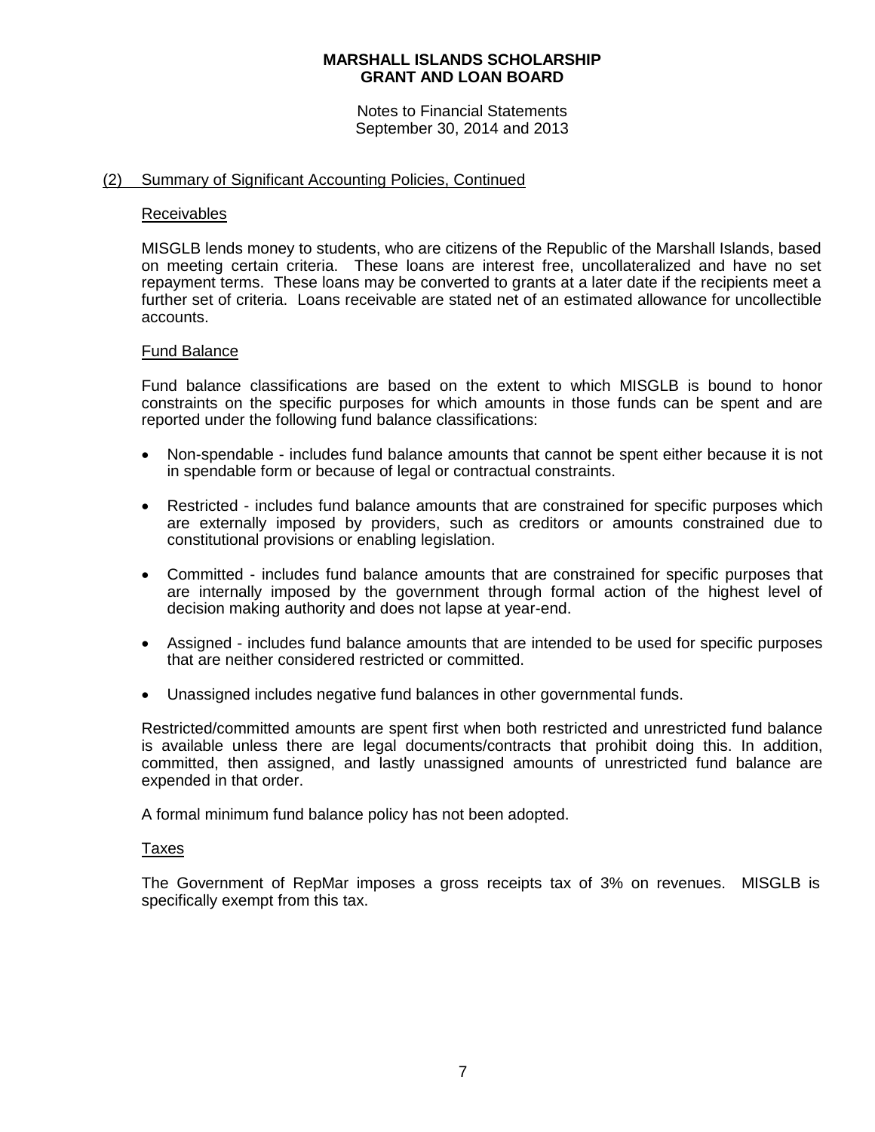Notes to Financial Statements September 30, 2014 and 2013

## (2) Summary of Significant Accounting Policies, Continued

### Receivables

MISGLB lends money to students, who are citizens of the Republic of the Marshall Islands, based on meeting certain criteria. These loans are interest free, uncollateralized and have no set repayment terms. These loans may be converted to grants at a later date if the recipients meet a further set of criteria. Loans receivable are stated net of an estimated allowance for uncollectible accounts.

## Fund Balance

Fund balance classifications are based on the extent to which MISGLB is bound to honor constraints on the specific purposes for which amounts in those funds can be spent and are reported under the following fund balance classifications:

- Non-spendable includes fund balance amounts that cannot be spent either because it is not in spendable form or because of legal or contractual constraints.
- Restricted includes fund balance amounts that are constrained for specific purposes which are externally imposed by providers, such as creditors or amounts constrained due to constitutional provisions or enabling legislation.
- Committed includes fund balance amounts that are constrained for specific purposes that are internally imposed by the government through formal action of the highest level of decision making authority and does not lapse at year-end.
- Assigned includes fund balance amounts that are intended to be used for specific purposes that are neither considered restricted or committed.
- Unassigned includes negative fund balances in other governmental funds.

Restricted/committed amounts are spent first when both restricted and unrestricted fund balance is available unless there are legal documents/contracts that prohibit doing this. In addition, committed, then assigned, and lastly unassigned amounts of unrestricted fund balance are expended in that order.

A formal minimum fund balance policy has not been adopted.

## Taxes

The Government of RepMar imposes a gross receipts tax of 3% on revenues. MISGLB is specifically exempt from this tax.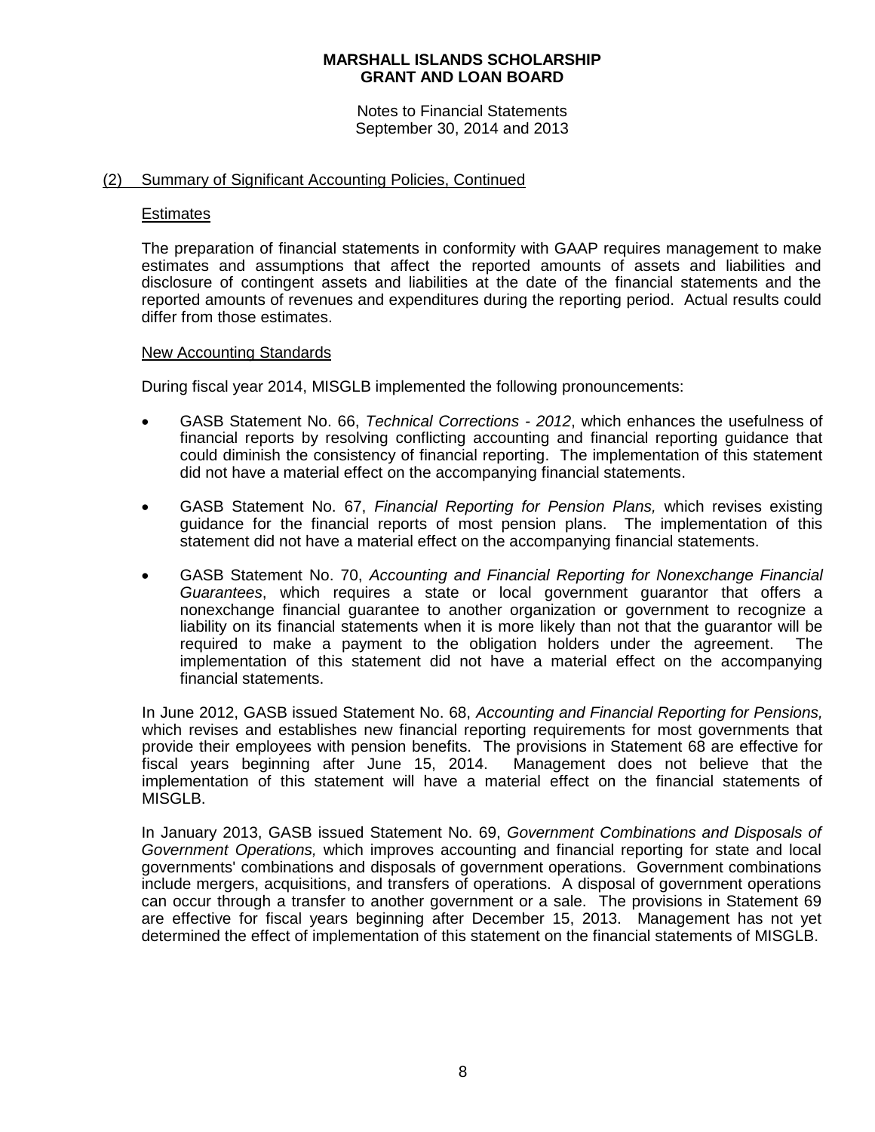Notes to Financial Statements September 30, 2014 and 2013

## (2) Summary of Significant Accounting Policies, Continued

### **Estimates**

The preparation of financial statements in conformity with GAAP requires management to make estimates and assumptions that affect the reported amounts of assets and liabilities and disclosure of contingent assets and liabilities at the date of the financial statements and the reported amounts of revenues and expenditures during the reporting period. Actual results could differ from those estimates.

## New Accounting Standards

During fiscal year 2014, MISGLB implemented the following pronouncements:

- GASB Statement No. 66, *Technical Corrections - 2012*, which enhances the usefulness of financial reports by resolving conflicting accounting and financial reporting guidance that could diminish the consistency of financial reporting. The implementation of this statement did not have a material effect on the accompanying financial statements.
- GASB Statement No. 67, *Financial Reporting for Pension Plans,* which revises existing guidance for the financial reports of most pension plans. The implementation of this statement did not have a material effect on the accompanying financial statements.
- GASB Statement No. 70, *Accounting and Financial Reporting for Nonexchange Financial Guarantees*, which requires a state or local government guarantor that offers a nonexchange financial guarantee to another organization or government to recognize a liability on its financial statements when it is more likely than not that the guarantor will be required to make a payment to the obligation holders under the agreement. The implementation of this statement did not have a material effect on the accompanying financial statements.

In June 2012, GASB issued Statement No. 68, *Accounting and Financial Reporting for Pensions,*  which revises and establishes new financial reporting requirements for most governments that provide their employees with pension benefits. The provisions in Statement 68 are effective for fiscal years beginning after June 15, 2014. Management does not believe that the implementation of this statement will have a material effect on the financial statements of MISGLB.

In January 2013, GASB issued Statement No. 69, *Government Combinations and Disposals of Government Operations,* which improves accounting and financial reporting for state and local governments' combinations and disposals of government operations. Government combinations include mergers, acquisitions, and transfers of operations. A disposal of government operations can occur through a transfer to another government or a sale. The provisions in Statement 69 are effective for fiscal years beginning after December 15, 2013. Management has not yet determined the effect of implementation of this statement on the financial statements of MISGLB.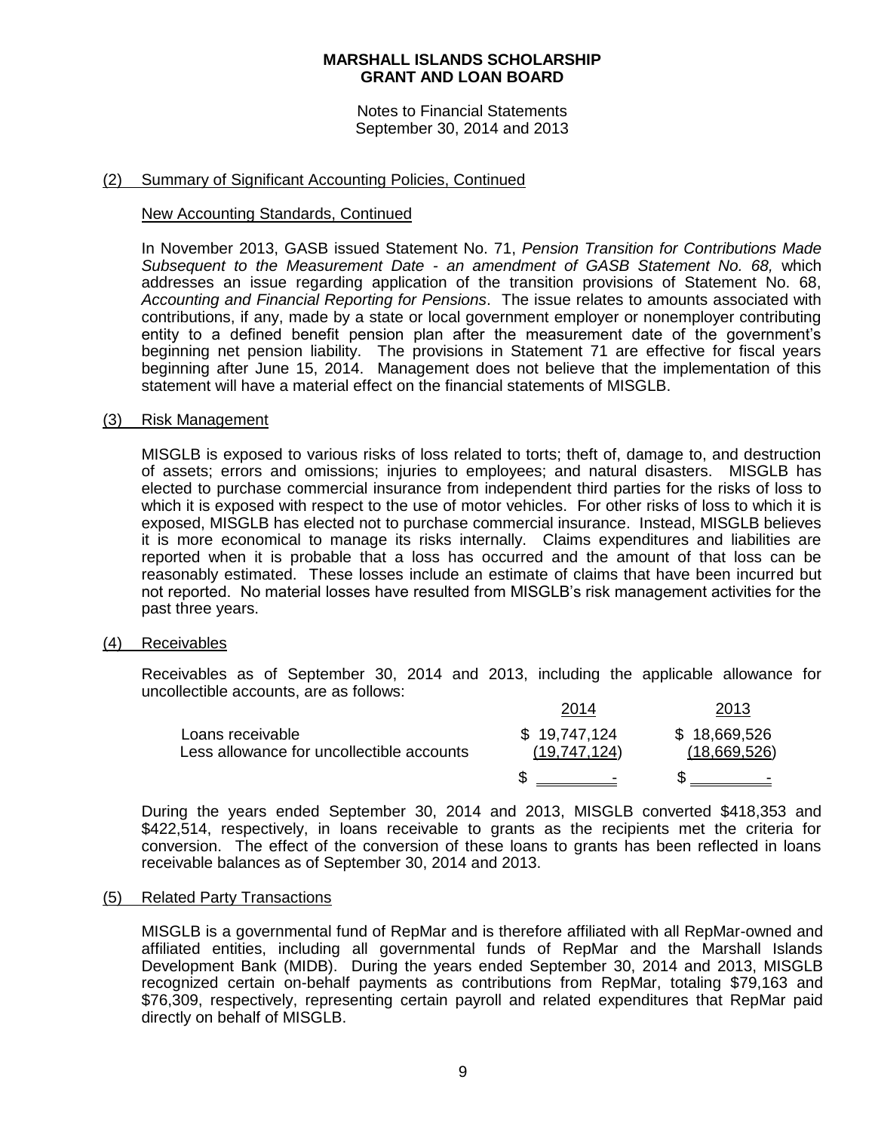Notes to Financial Statements September 30, 2014 and 2013

### (2) Summary of Significant Accounting Policies, Continued

#### New Accounting Standards, Continued

In November 2013, GASB issued Statement No. 71, *Pension Transition for Contributions Made Subsequent to the Measurement Date - an amendment of GASB Statement No. 68,* which addresses an issue regarding application of the transition provisions of Statement No. 68, *Accounting and Financial Reporting for Pensions*. The issue relates to amounts associated with contributions, if any, made by a state or local government employer or nonemployer contributing entity to a defined benefit pension plan after the measurement date of the government's beginning net pension liability. The provisions in Statement 71 are effective for fiscal years beginning after June 15, 2014. Management does not believe that the implementation of this statement will have a material effect on the financial statements of MISGLB.

#### (3) Risk Management

MISGLB is exposed to various risks of loss related to torts; theft of, damage to, and destruction of assets; errors and omissions; injuries to employees; and natural disasters. MISGLB has elected to purchase commercial insurance from independent third parties for the risks of loss to which it is exposed with respect to the use of motor vehicles. For other risks of loss to which it is exposed, MISGLB has elected not to purchase commercial insurance. Instead, MISGLB believes it is more economical to manage its risks internally. Claims expenditures and liabilities are reported when it is probable that a loss has occurred and the amount of that loss can be reasonably estimated. These losses include an estimate of claims that have been incurred but not reported. No material losses have resulted from MISGLB's risk management activities for the past three years.

#### (4) Receivables

Receivables as of September 30, 2014 and 2013, including the applicable allowance for uncollectible accounts, are as follows:

|                                                               | 2014                         | 2013                         |
|---------------------------------------------------------------|------------------------------|------------------------------|
| Loans receivable<br>Less allowance for uncollectible accounts | \$19,747,124<br>(19.747.124) | \$18,669,526<br>(18,669,526) |
|                                                               | $\overline{\phantom{0}}$     |                              |

During the years ended September 30, 2014 and 2013, MISGLB converted \$418,353 and \$422,514, respectively, in loans receivable to grants as the recipients met the criteria for conversion. The effect of the conversion of these loans to grants has been reflected in loans receivable balances as of September 30, 2014 and 2013.

### (5) Related Party Transactions

MISGLB is a governmental fund of RepMar and is therefore affiliated with all RepMar-owned and affiliated entities, including all governmental funds of RepMar and the Marshall Islands Development Bank (MIDB). During the years ended September 30, 2014 and 2013, MISGLB recognized certain on-behalf payments as contributions from RepMar, totaling \$79,163 and \$76,309, respectively, representing certain payroll and related expenditures that RepMar paid directly on behalf of MISGLB.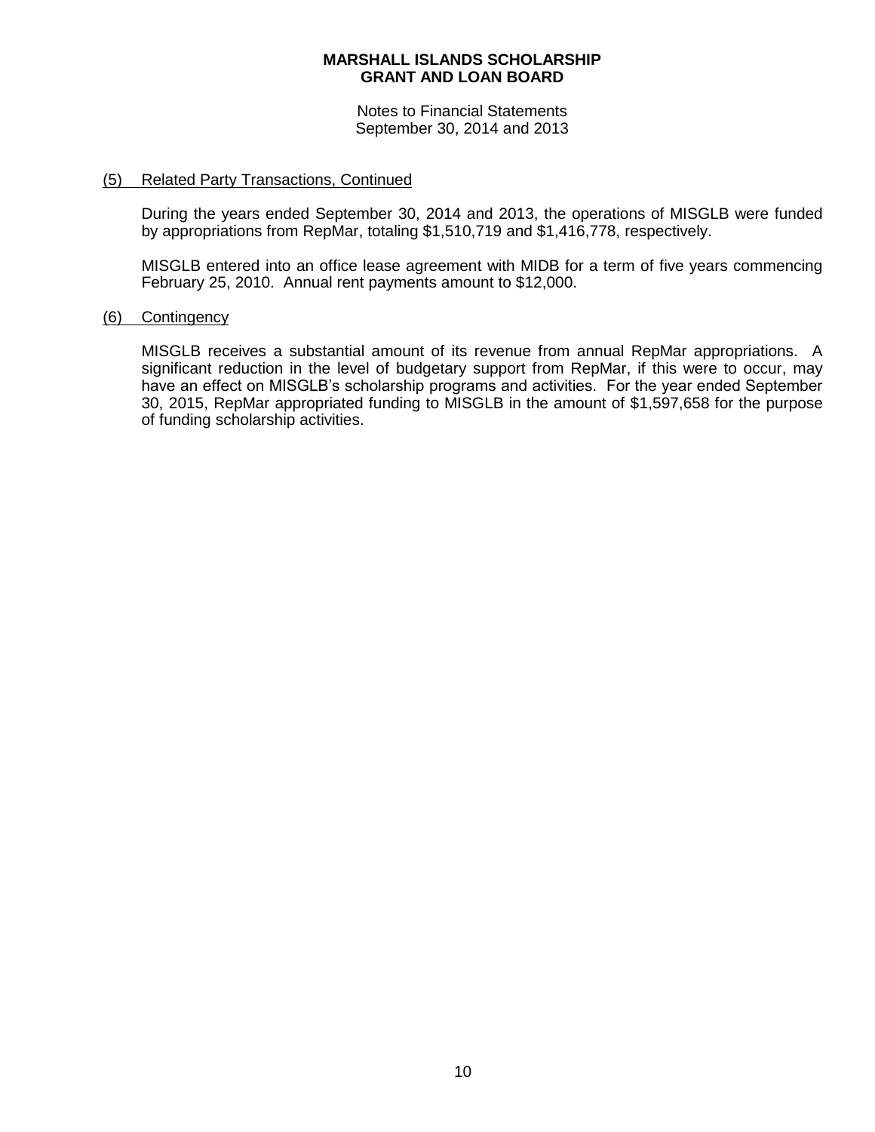Notes to Financial Statements September 30, 2014 and 2013

### (5) Related Party Transactions, Continued

During the years ended September 30, 2014 and 2013, the operations of MISGLB were funded by appropriations from RepMar, totaling \$1,510,719 and \$1,416,778, respectively.

MISGLB entered into an office lease agreement with MIDB for a term of five years commencing February 25, 2010. Annual rent payments amount to \$12,000.

#### (6) Contingency

MISGLB receives a substantial amount of its revenue from annual RepMar appropriations. A significant reduction in the level of budgetary support from RepMar, if this were to occur, may have an effect on MISGLB's scholarship programs and activities. For the year ended September 30, 2015, RepMar appropriated funding to MISGLB in the amount of \$1,597,658 for the purpose of funding scholarship activities.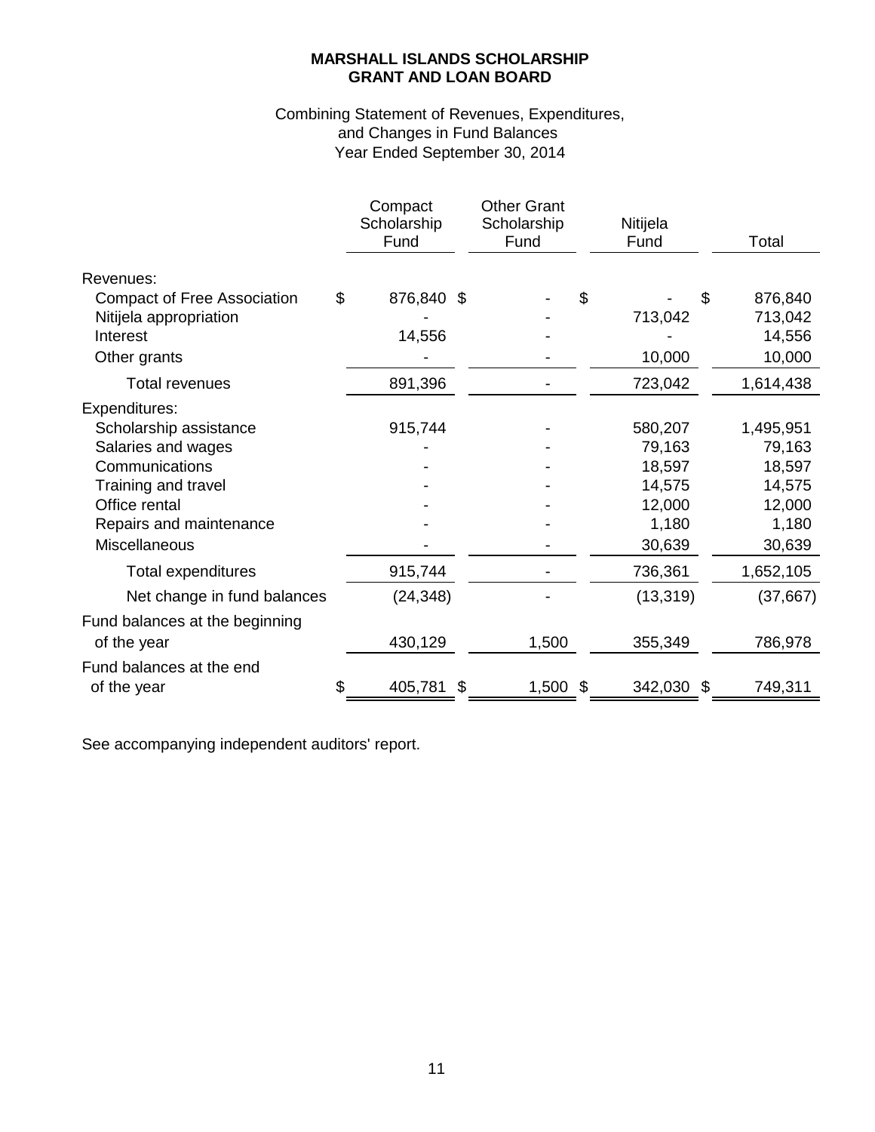# **GRANT AND LOAN BOARD MARSHALL ISLANDS SCHOLARSHIP**

# Combining Statement of Revenues, Expenditures, Year Ended September 30, 2014 and Changes in Fund Balances

|                                    | Compact<br>Scholarship<br>Fund | <b>Other Grant</b><br>Scholarship<br>Fund | Nitijela<br>Fund | Total     |
|------------------------------------|--------------------------------|-------------------------------------------|------------------|-----------|
| Revenues:                          |                                |                                           |                  |           |
| <b>Compact of Free Association</b> | \$<br>876,840 \$               |                                           | \$<br>\$         | 876,840   |
| Nitijela appropriation             |                                |                                           | 713,042          | 713,042   |
| Interest                           | 14,556                         |                                           |                  | 14,556    |
| Other grants                       |                                |                                           | 10,000           | 10,000    |
| <b>Total revenues</b>              | 891,396                        |                                           | 723,042          | 1,614,438 |
| Expenditures:                      |                                |                                           |                  |           |
| Scholarship assistance             | 915,744                        |                                           | 580,207          | 1,495,951 |
| Salaries and wages                 |                                |                                           | 79,163           | 79,163    |
| Communications                     |                                |                                           | 18,597           | 18,597    |
| Training and travel                |                                |                                           | 14,575           | 14,575    |
| Office rental                      |                                |                                           | 12,000           | 12,000    |
| Repairs and maintenance            |                                |                                           | 1,180            | 1,180     |
| <b>Miscellaneous</b>               |                                |                                           | 30,639           | 30,639    |
| Total expenditures                 | 915,744                        |                                           | 736,361          | 1,652,105 |
| Net change in fund balances        | (24, 348)                      |                                           | (13, 319)        | (37, 667) |
| Fund balances at the beginning     |                                |                                           |                  |           |
| of the year                        | 430,129                        | 1,500                                     | 355,349          | 786,978   |
| Fund balances at the end           |                                |                                           |                  |           |
| of the year                        | \$<br>405,781<br>\$            | 1,500 \$                                  | 342,030<br>- \$  | 749,311   |

See accompanying independent auditors' report.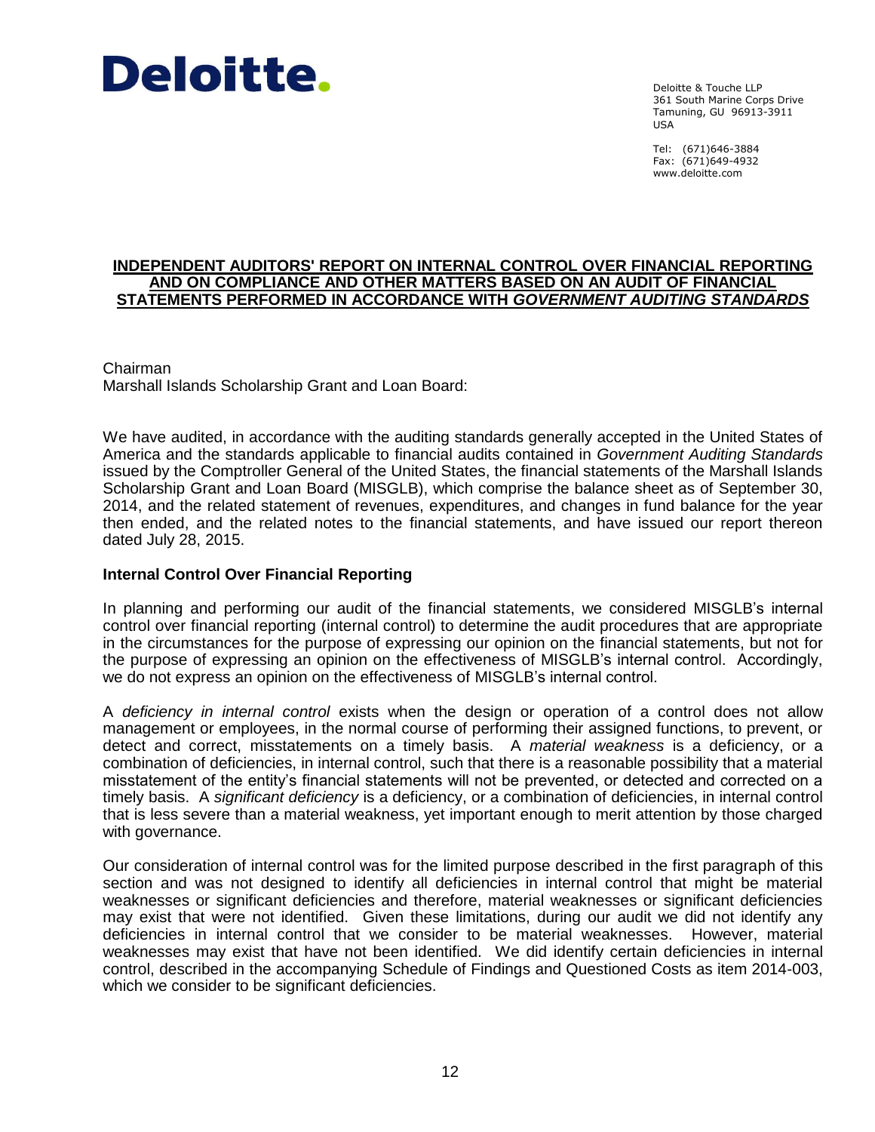

Deloitte & Touche LLP 361 South Marine Corps Drive Tamuning, GU 96913-3911 USA

Tel: (671)646-3884 Fax: (671)649-4932 www.deloitte.com

#### **INDEPENDENT AUDITORS' REPORT ON INTERNAL CONTROL OVER FINANCIAL REPORTING AND ON COMPLIANCE AND OTHER MATTERS BASED ON AN AUDIT OF FINANCIAL STATEMENTS PERFORMED IN ACCORDANCE WITH** *GOVERNMENT AUDITING STANDARDS*

Chairman Marshall Islands Scholarship Grant and Loan Board:

We have audited, in accordance with the auditing standards generally accepted in the United States of America and the standards applicable to financial audits contained in *Government Auditing Standards* issued by the Comptroller General of the United States, the financial statements of the Marshall Islands Scholarship Grant and Loan Board (MISGLB), which comprise the balance sheet as of September 30, 2014, and the related statement of revenues, expenditures, and changes in fund balance for the year then ended, and the related notes to the financial statements, and have issued our report thereon dated July 28, 2015.

## **Internal Control Over Financial Reporting**

In planning and performing our audit of the financial statements, we considered MISGLB's internal control over financial reporting (internal control) to determine the audit procedures that are appropriate in the circumstances for the purpose of expressing our opinion on the financial statements, but not for the purpose of expressing an opinion on the effectiveness of MISGLB's internal control. Accordingly, we do not express an opinion on the effectiveness of MISGLB's internal control.

A *deficiency in internal control* exists when the design or operation of a control does not allow management or employees, in the normal course of performing their assigned functions, to prevent, or detect and correct, misstatements on a timely basis. A *material weakness* is a deficiency, or a combination of deficiencies, in internal control, such that there is a reasonable possibility that a material misstatement of the entity's financial statements will not be prevented, or detected and corrected on a timely basis. A *significant deficiency* is a deficiency, or a combination of deficiencies, in internal control that is less severe than a material weakness, yet important enough to merit attention by those charged with governance.

Our consideration of internal control was for the limited purpose described in the first paragraph of this section and was not designed to identify all deficiencies in internal control that might be material weaknesses or significant deficiencies and therefore, material weaknesses or significant deficiencies may exist that were not identified. Given these limitations, during our audit we did not identify any deficiencies in internal control that we consider to be material weaknesses. However, material weaknesses may exist that have not been identified. We did identify certain deficiencies in internal control, described in the accompanying Schedule of Findings and Questioned Costs as item 2014-003, which we consider to be significant deficiencies.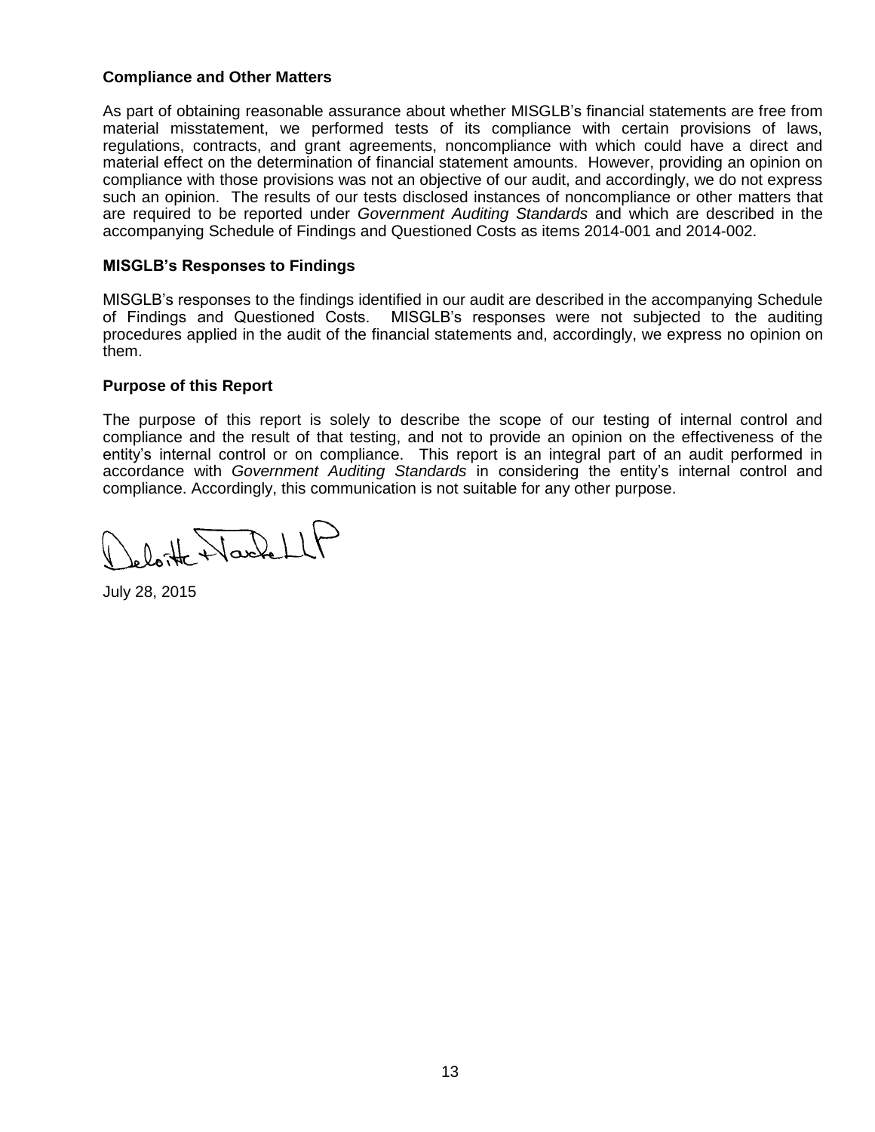## **Compliance and Other Matters**

As part of obtaining reasonable assurance about whether MISGLB's financial statements are free from material misstatement, we performed tests of its compliance with certain provisions of laws, regulations, contracts, and grant agreements, noncompliance with which could have a direct and material effect on the determination of financial statement amounts. However, providing an opinion on compliance with those provisions was not an objective of our audit, and accordingly, we do not express such an opinion. The results of our tests disclosed instances of noncompliance or other matters that are required to be reported under *Government Auditing Standards* and which are described in the accompanying Schedule of Findings and Questioned Costs as items 2014-001 and 2014-002.

## **MISGLB's Responses to Findings**

MISGLB's responses to the findings identified in our audit are described in the accompanying Schedule of Findings and Questioned Costs. MISGLB's responses were not subjected to the auditing procedures applied in the audit of the financial statements and, accordingly, we express no opinion on them.

## **Purpose of this Report**

The purpose of this report is solely to describe the scope of our testing of internal control and compliance and the result of that testing, and not to provide an opinion on the effectiveness of the entity's internal control or on compliance. This report is an integral part of an audit performed in accordance with *Government Auditing Standards* in considering the entity's internal control and compliance. Accordingly, this communication is not suitable for any other purpose.

 $0$  if Nackell

July 28, 2015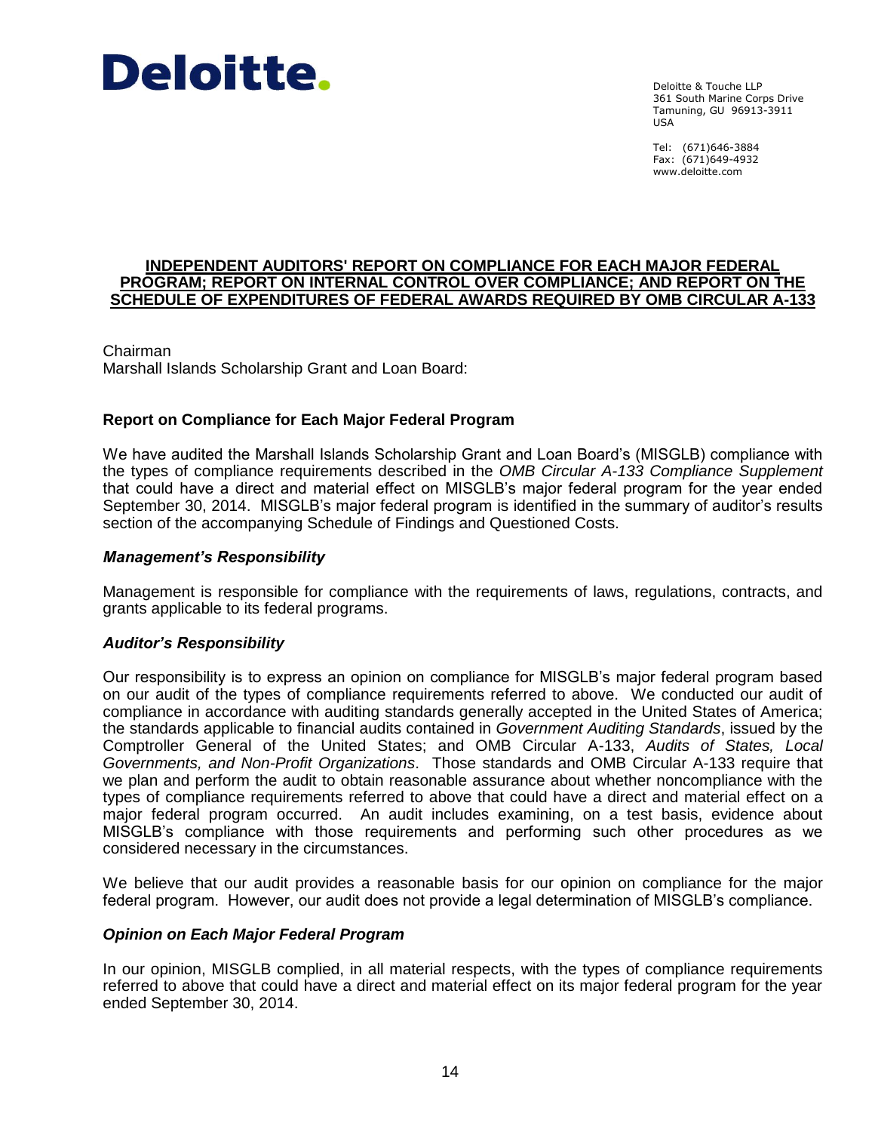

Deloitte & Touche LLP 361 South Marine Corps Drive Tamuning, GU 96913-3911 USA

Tel: (671)646-3884 Fax: (671)649-4932 www.deloitte.com

#### **INDEPENDENT AUDITORS' REPORT ON COMPLIANCE FOR EACH MAJOR FEDERAL PROGRAM; REPORT ON INTERNAL CONTROL OVER COMPLIANCE; AND REPORT ON THE SCHEDULE OF EXPENDITURES OF FEDERAL AWARDS REQUIRED BY OMB CIRCULAR A-133**

Chairman Marshall Islands Scholarship Grant and Loan Board:

## **Report on Compliance for Each Major Federal Program**

We have audited the Marshall Islands Scholarship Grant and Loan Board's (MISGLB) compliance with the types of compliance requirements described in the *OMB Circular A-133 Compliance Supplement* that could have a direct and material effect on MISGLB's major federal program for the year ended September 30, 2014. MISGLB's major federal program is identified in the summary of auditor's results section of the accompanying Schedule of Findings and Questioned Costs.

## *Management's Responsibility*

Management is responsible for compliance with the requirements of laws, regulations, contracts, and grants applicable to its federal programs.

## *Auditor's Responsibility*

Our responsibility is to express an opinion on compliance for MISGLB's major federal program based on our audit of the types of compliance requirements referred to above. We conducted our audit of compliance in accordance with auditing standards generally accepted in the United States of America; the standards applicable to financial audits contained in *Government Auditing Standards*, issued by the Comptroller General of the United States; and OMB Circular A-133, *Audits of States, Local Governments, and Non-Profit Organizations*. Those standards and OMB Circular A-133 require that we plan and perform the audit to obtain reasonable assurance about whether noncompliance with the types of compliance requirements referred to above that could have a direct and material effect on a major federal program occurred. An audit includes examining, on a test basis, evidence about MISGLB's compliance with those requirements and performing such other procedures as we considered necessary in the circumstances.

We believe that our audit provides a reasonable basis for our opinion on compliance for the major federal program. However, our audit does not provide a legal determination of MISGLB's compliance.

## *Opinion on Each Major Federal Program*

In our opinion, MISGLB complied, in all material respects, with the types of compliance requirements referred to above that could have a direct and material effect on its major federal program for the year ended September 30, 2014.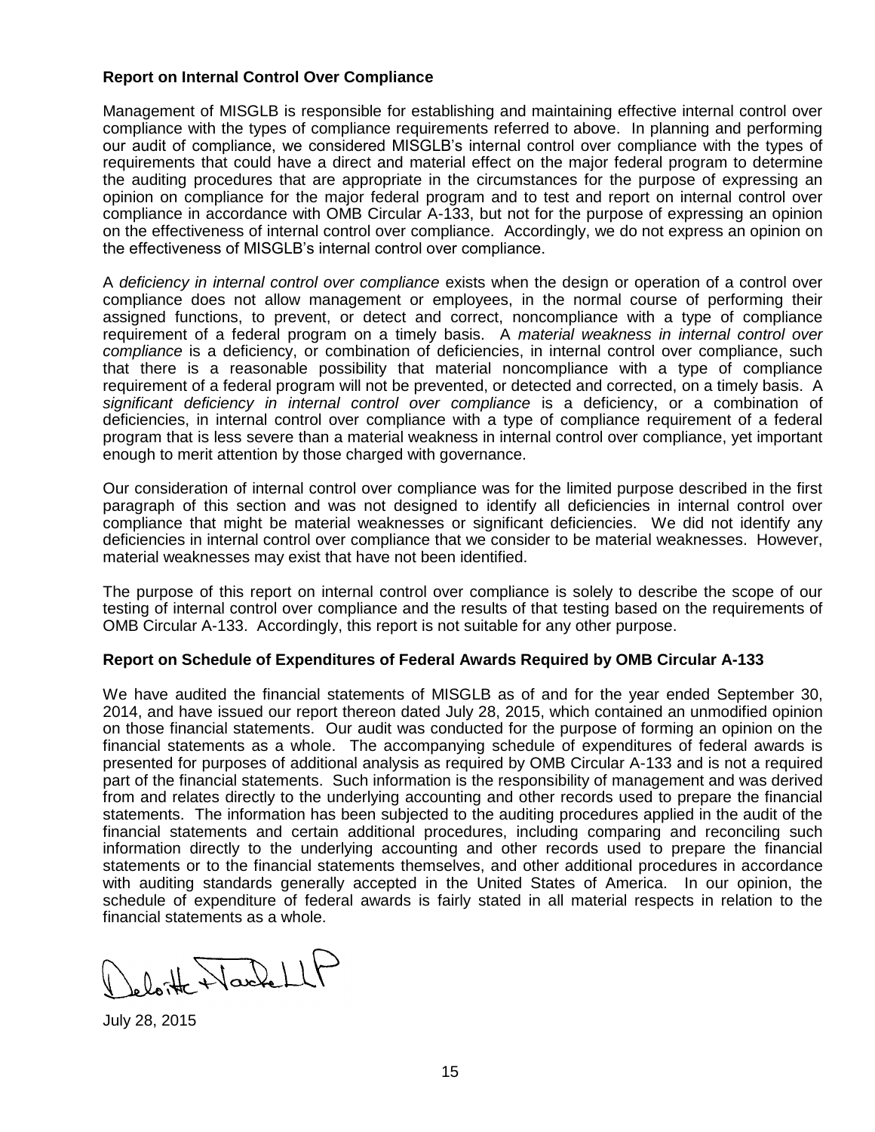## **Report on Internal Control Over Compliance**

Management of MISGLB is responsible for establishing and maintaining effective internal control over compliance with the types of compliance requirements referred to above. In planning and performing our audit of compliance, we considered MISGLB's internal control over compliance with the types of requirements that could have a direct and material effect on the major federal program to determine the auditing procedures that are appropriate in the circumstances for the purpose of expressing an opinion on compliance for the major federal program and to test and report on internal control over compliance in accordance with OMB Circular A-133, but not for the purpose of expressing an opinion on the effectiveness of internal control over compliance. Accordingly, we do not express an opinion on the effectiveness of MISGLB's internal control over compliance.

A *deficiency in internal control over compliance* exists when the design or operation of a control over compliance does not allow management or employees, in the normal course of performing their assigned functions, to prevent, or detect and correct, noncompliance with a type of compliance requirement of a federal program on a timely basis. A *material weakness in internal control over compliance* is a deficiency, or combination of deficiencies, in internal control over compliance, such that there is a reasonable possibility that material noncompliance with a type of compliance requirement of a federal program will not be prevented, or detected and corrected, on a timely basis. A *significant deficiency in internal control over compliance* is a deficiency, or a combination of deficiencies, in internal control over compliance with a type of compliance requirement of a federal program that is less severe than a material weakness in internal control over compliance, yet important enough to merit attention by those charged with governance.

Our consideration of internal control over compliance was for the limited purpose described in the first paragraph of this section and was not designed to identify all deficiencies in internal control over compliance that might be material weaknesses or significant deficiencies. We did not identify any deficiencies in internal control over compliance that we consider to be material weaknesses. However, material weaknesses may exist that have not been identified.

The purpose of this report on internal control over compliance is solely to describe the scope of our testing of internal control over compliance and the results of that testing based on the requirements of OMB Circular A-133. Accordingly, this report is not suitable for any other purpose.

## **Report on Schedule of Expenditures of Federal Awards Required by OMB Circular A-133**

We have audited the financial statements of MISGLB as of and for the year ended September 30, 2014, and have issued our report thereon dated July 28, 2015, which contained an unmodified opinion on those financial statements. Our audit was conducted for the purpose of forming an opinion on the financial statements as a whole. The accompanying schedule of expenditures of federal awards is presented for purposes of additional analysis as required by OMB Circular A-133 and is not a required part of the financial statements. Such information is the responsibility of management and was derived from and relates directly to the underlying accounting and other records used to prepare the financial statements. The information has been subjected to the auditing procedures applied in the audit of the financial statements and certain additional procedures, including comparing and reconciling such information directly to the underlying accounting and other records used to prepare the financial statements or to the financial statements themselves, and other additional procedures in accordance with auditing standards generally accepted in the United States of America. In our opinion, the schedule of expenditure of federal awards is fairly stated in all material respects in relation to the financial statements as a whole.

Jeloitte WackellP

July 28, 2015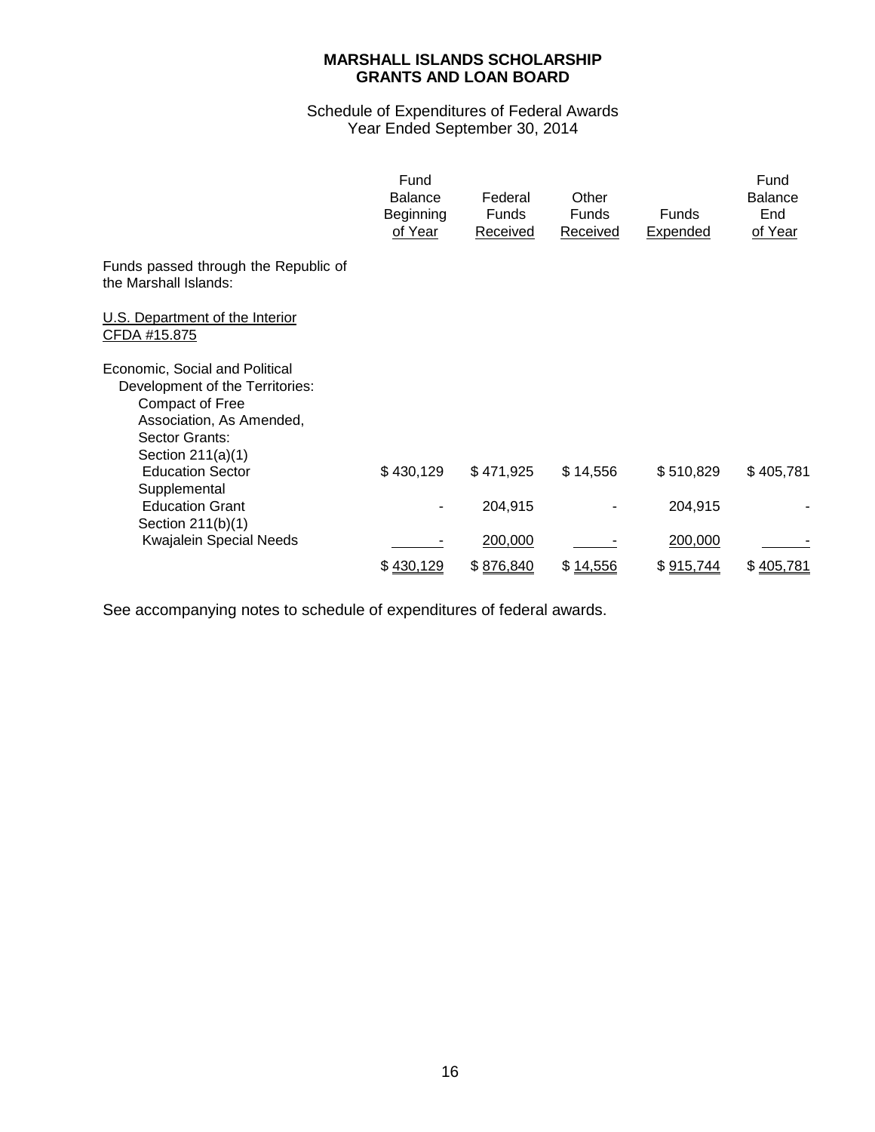Schedule of Expenditures of Federal Awards Year Ended September 30, 2014

|                                                                                                                                                         | Fund<br><b>Balance</b><br>Beginning<br>of Year | Federal<br><b>Funds</b><br>Received | Other<br><b>Funds</b><br>Received | <b>Funds</b><br><b>Expended</b> | Fund<br><b>Balance</b><br>End<br>of Year |
|---------------------------------------------------------------------------------------------------------------------------------------------------------|------------------------------------------------|-------------------------------------|-----------------------------------|---------------------------------|------------------------------------------|
| Funds passed through the Republic of<br>the Marshall Islands:                                                                                           |                                                |                                     |                                   |                                 |                                          |
| U.S. Department of the Interior<br>CFDA #15.875                                                                                                         |                                                |                                     |                                   |                                 |                                          |
| Economic, Social and Political<br>Development of the Territories:<br>Compact of Free<br>Association, As Amended,<br>Sector Grants:<br>Section 211(a)(1) |                                                |                                     |                                   |                                 |                                          |
| <b>Education Sector</b><br>Supplemental                                                                                                                 | \$430,129                                      | \$471,925                           | \$14,556                          | \$510,829                       | \$405,781                                |
| <b>Education Grant</b><br>Section 211(b)(1)                                                                                                             |                                                | 204,915                             |                                   | 204,915                         |                                          |
| <b>Kwajalein Special Needs</b>                                                                                                                          |                                                | 200,000                             |                                   | 200,000                         |                                          |
|                                                                                                                                                         | \$430,129                                      | \$876,840                           | \$14,556                          | \$915,744                       | \$405,781                                |

See accompanying notes to schedule of expenditures of federal awards.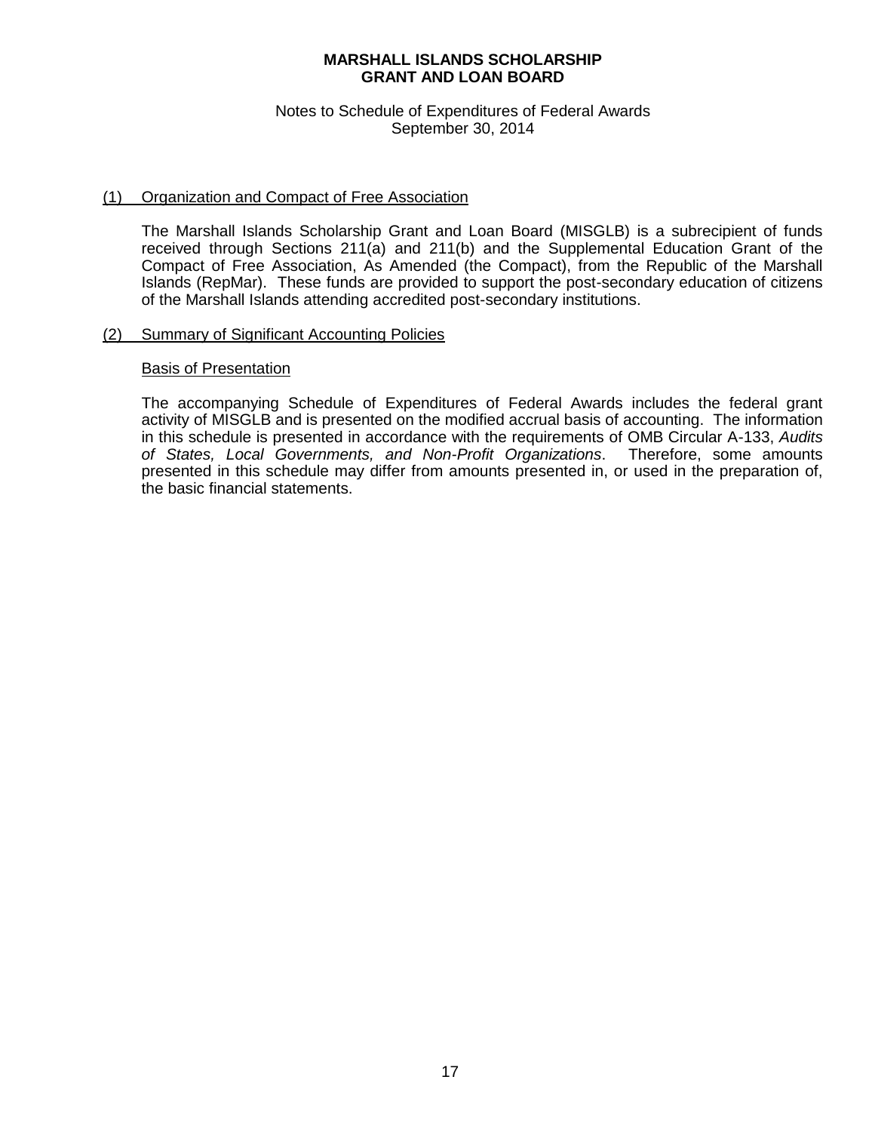Notes to Schedule of Expenditures of Federal Awards September 30, 2014

## (1) Organization and Compact of Free Association

The Marshall Islands Scholarship Grant and Loan Board (MISGLB) is a subrecipient of funds received through Sections 211(a) and 211(b) and the Supplemental Education Grant of the Compact of Free Association, As Amended (the Compact), from the Republic of the Marshall Islands (RepMar). These funds are provided to support the post-secondary education of citizens of the Marshall Islands attending accredited post-secondary institutions.

## (2) Summary of Significant Accounting Policies

#### Basis of Presentation

The accompanying Schedule of Expenditures of Federal Awards includes the federal grant activity of MISGLB and is presented on the modified accrual basis of accounting. The information in this schedule is presented in accordance with the requirements of OMB Circular A-133, *Audits of States, Local Governments, and Non-Profit Organizations*. Therefore, some amounts presented in this schedule may differ from amounts presented in, or used in the preparation of, the basic financial statements.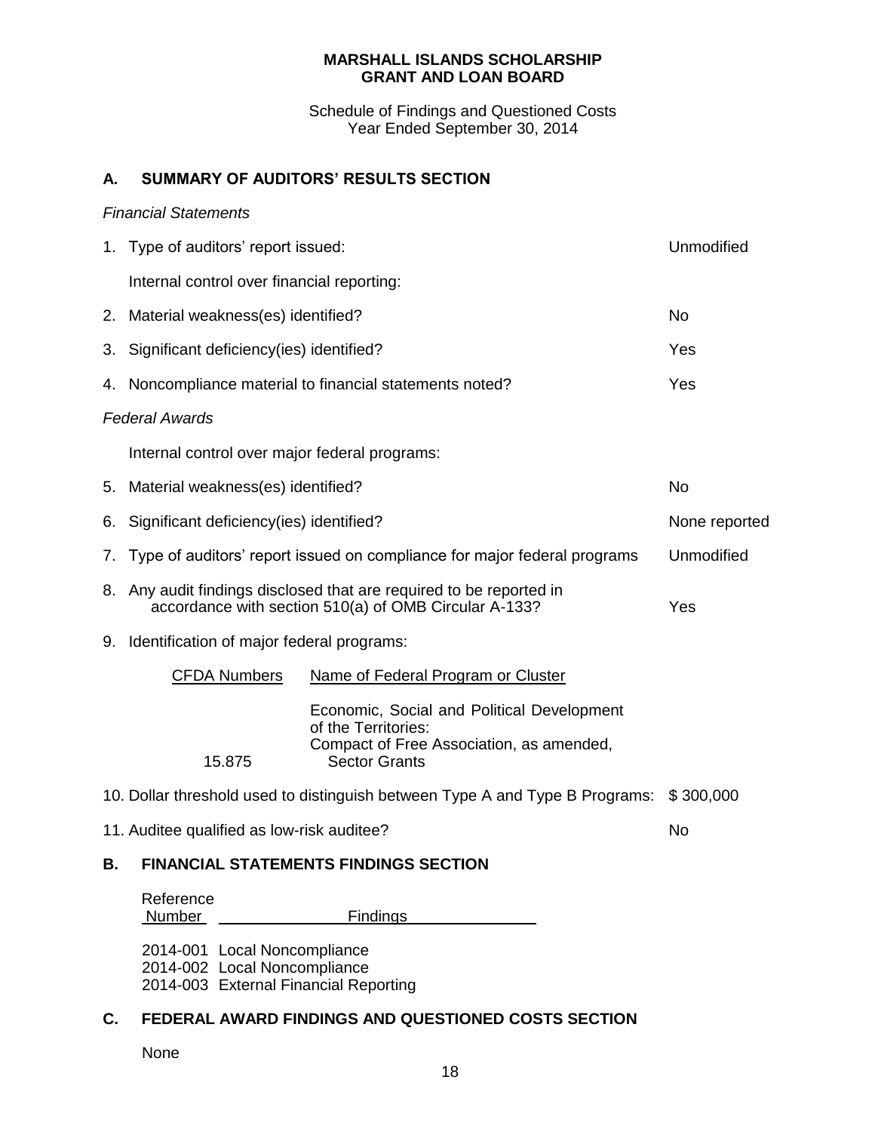Schedule of Findings and Questioned Costs Year Ended September 30, 2014

# **A. SUMMARY OF AUDITORS' RESULTS SECTION**

## *Financial Statements*

| В. |                                                                                                                                  | <b>FINANCIAL STATEMENTS FINDINGS SECTION</b>                                                                                          |           |  |  |  |
|----|----------------------------------------------------------------------------------------------------------------------------------|---------------------------------------------------------------------------------------------------------------------------------------|-----------|--|--|--|
|    | 11. Auditee qualified as low-risk auditee?                                                                                       |                                                                                                                                       | <b>No</b> |  |  |  |
|    | 10. Dollar threshold used to distinguish between Type A and Type B Programs:<br>\$300,000                                        |                                                                                                                                       |           |  |  |  |
|    | 15.875                                                                                                                           | Economic, Social and Political Development<br>of the Territories:<br>Compact of Free Association, as amended,<br><b>Sector Grants</b> |           |  |  |  |
|    | <b>CFDA Numbers</b>                                                                                                              | Name of Federal Program or Cluster                                                                                                    |           |  |  |  |
| 9. | Identification of major federal programs:                                                                                        |                                                                                                                                       |           |  |  |  |
| 8. | Any audit findings disclosed that are required to be reported in<br>accordance with section 510(a) of OMB Circular A-133?<br>Yes |                                                                                                                                       |           |  |  |  |
| 7. | Type of auditors' report issued on compliance for major federal programs<br>Unmodified                                           |                                                                                                                                       |           |  |  |  |
| 6. | Significant deficiency(ies) identified?<br>None reported                                                                         |                                                                                                                                       |           |  |  |  |
|    | <b>No</b><br>5. Material weakness(es) identified?                                                                                |                                                                                                                                       |           |  |  |  |
|    | Internal control over major federal programs:                                                                                    |                                                                                                                                       |           |  |  |  |
|    | <b>Federal Awards</b>                                                                                                            |                                                                                                                                       |           |  |  |  |
| 4. |                                                                                                                                  | Noncompliance material to financial statements noted?                                                                                 | Yes       |  |  |  |
| 3. | Significant deficiency(ies) identified?                                                                                          |                                                                                                                                       | Yes       |  |  |  |
|    | 2. Material weakness(es) identified?                                                                                             |                                                                                                                                       | <b>No</b> |  |  |  |
|    | Internal control over financial reporting:                                                                                       |                                                                                                                                       |           |  |  |  |
|    | 1. Type of auditors' report issued:                                                                                              |                                                                                                                                       |           |  |  |  |

Reference Number **Findings** 2014-001 Local Noncompliance 2014-002 Local Noncompliance

2014-003 External Financial Reporting

# **C. FEDERAL AWARD FINDINGS AND QUESTIONED COSTS SECTION**

None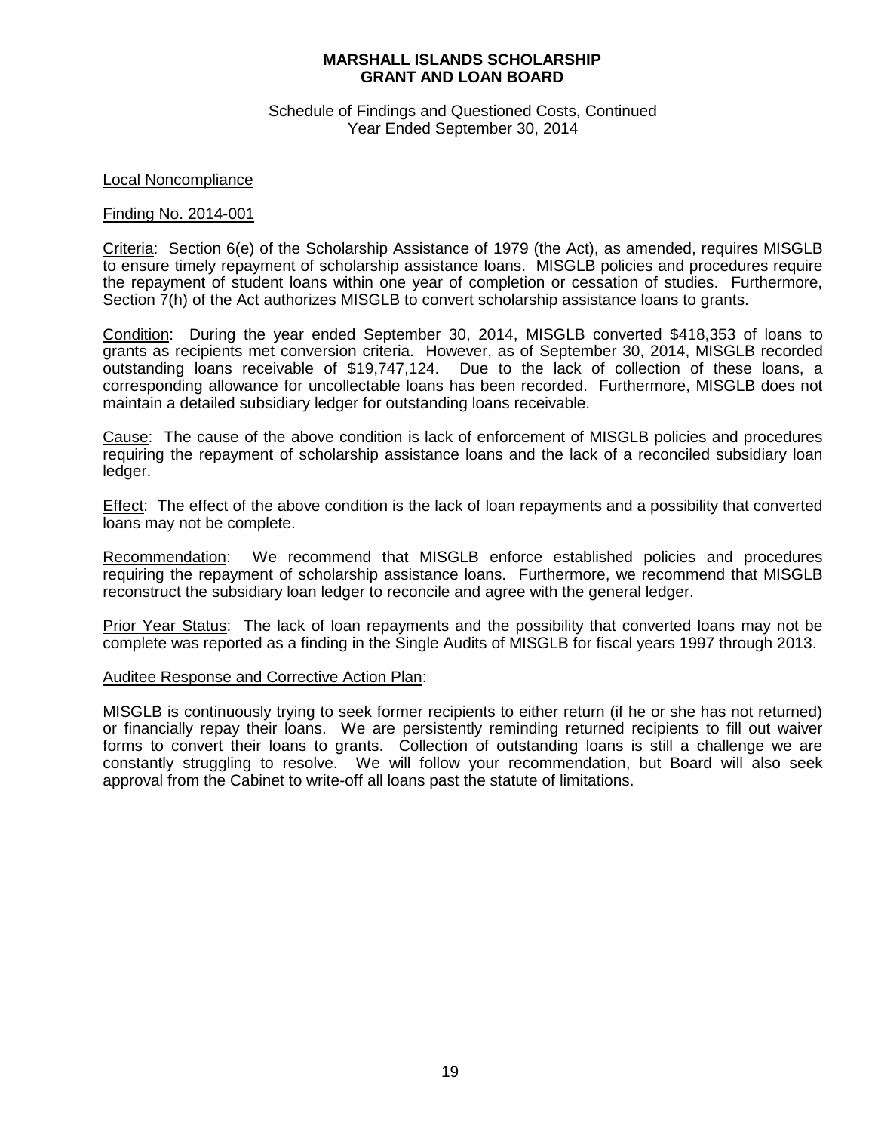Schedule of Findings and Questioned Costs, Continued Year Ended September 30, 2014

#### Local Noncompliance

#### Finding No. 2014-001

Criteria: Section 6(e) of the Scholarship Assistance of 1979 (the Act), as amended, requires MISGLB to ensure timely repayment of scholarship assistance loans. MISGLB policies and procedures require the repayment of student loans within one year of completion or cessation of studies. Furthermore, Section 7(h) of the Act authorizes MISGLB to convert scholarship assistance loans to grants.

Condition: During the year ended September 30, 2014, MISGLB converted \$418,353 of loans to grants as recipients met conversion criteria. However, as of September 30, 2014, MISGLB recorded outstanding loans receivable of \$19,747,124. Due to the lack of collection of these loans, a corresponding allowance for uncollectable loans has been recorded. Furthermore, MISGLB does not maintain a detailed subsidiary ledger for outstanding loans receivable.

Cause: The cause of the above condition is lack of enforcement of MISGLB policies and procedures requiring the repayment of scholarship assistance loans and the lack of a reconciled subsidiary loan ledger.

Effect: The effect of the above condition is the lack of loan repayments and a possibility that converted loans may not be complete.

Recommendation: We recommend that MISGLB enforce established policies and procedures requiring the repayment of scholarship assistance loans. Furthermore, we recommend that MISGLB reconstruct the subsidiary loan ledger to reconcile and agree with the general ledger.

Prior Year Status: The lack of loan repayments and the possibility that converted loans may not be complete was reported as a finding in the Single Audits of MISGLB for fiscal years 1997 through 2013.

#### Auditee Response and Corrective Action Plan:

MISGLB is continuously trying to seek former recipients to either return (if he or she has not returned) or financially repay their loans. We are persistently reminding returned recipients to fill out waiver forms to convert their loans to grants. Collection of outstanding loans is still a challenge we are constantly struggling to resolve. We will follow your recommendation, but Board will also seek approval from the Cabinet to write-off all loans past the statute of limitations.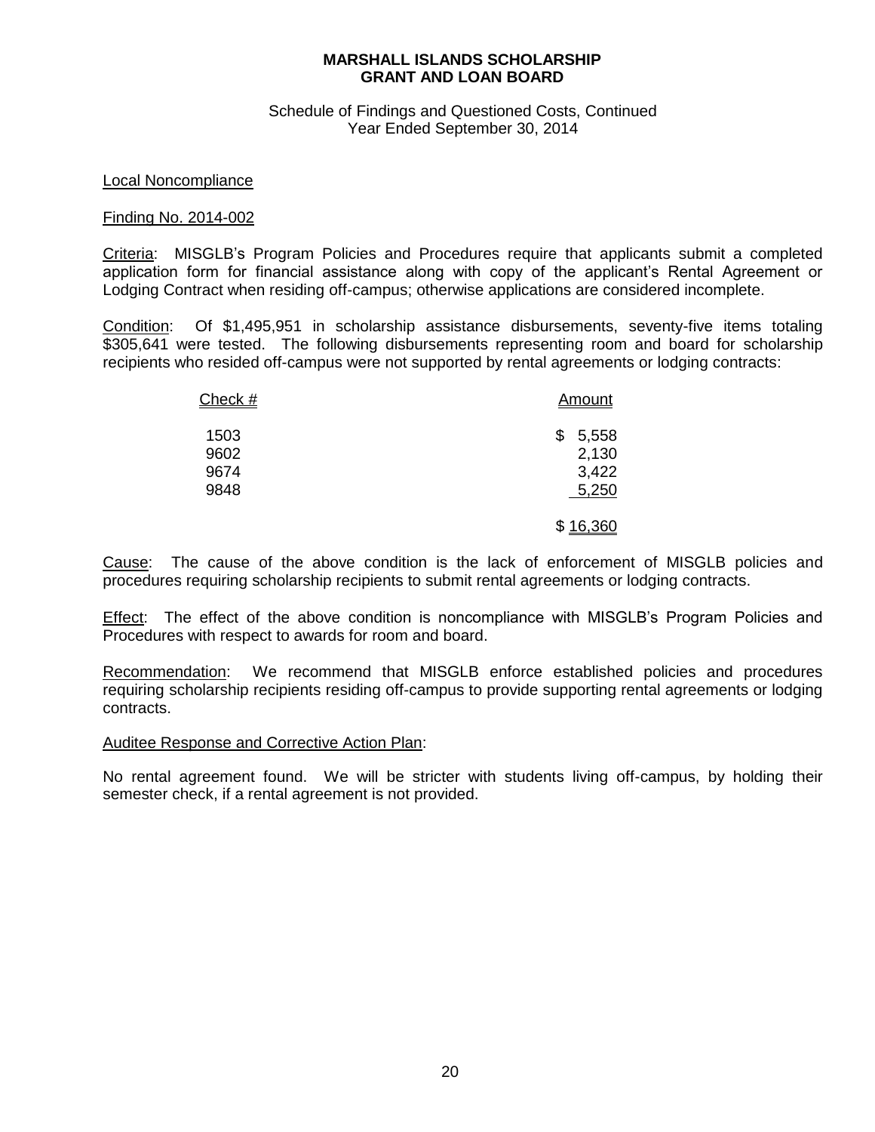Schedule of Findings and Questioned Costs, Continued Year Ended September 30, 2014

### Local Noncompliance

#### Finding No. 2014-002

Criteria: MISGLB's Program Policies and Procedures require that applicants submit a completed application form for financial assistance along with copy of the applicant's Rental Agreement or Lodging Contract when residing off-campus; otherwise applications are considered incomplete.

Condition: Of \$1,495,951 in scholarship assistance disbursements, seventy-five items totaling \$305,641 were tested. The following disbursements representing room and board for scholarship recipients who resided off-campus were not supported by rental agreements or lodging contracts:

| <u>Check #</u>       | <u>Amount</u>                 |
|----------------------|-------------------------------|
| 1503<br>9602<br>9674 | 5,558<br>\$<br>2,130<br>3,422 |
| 9848                 | 5,250<br>\$16,360             |

Cause: The cause of the above condition is the lack of enforcement of MISGLB policies and procedures requiring scholarship recipients to submit rental agreements or lodging contracts.

Effect: The effect of the above condition is noncompliance with MISGLB's Program Policies and Procedures with respect to awards for room and board.

Recommendation: We recommend that MISGLB enforce established policies and procedures requiring scholarship recipients residing off-campus to provide supporting rental agreements or lodging contracts.

#### Auditee Response and Corrective Action Plan:

No rental agreement found. We will be stricter with students living off-campus, by holding their semester check, if a rental agreement is not provided.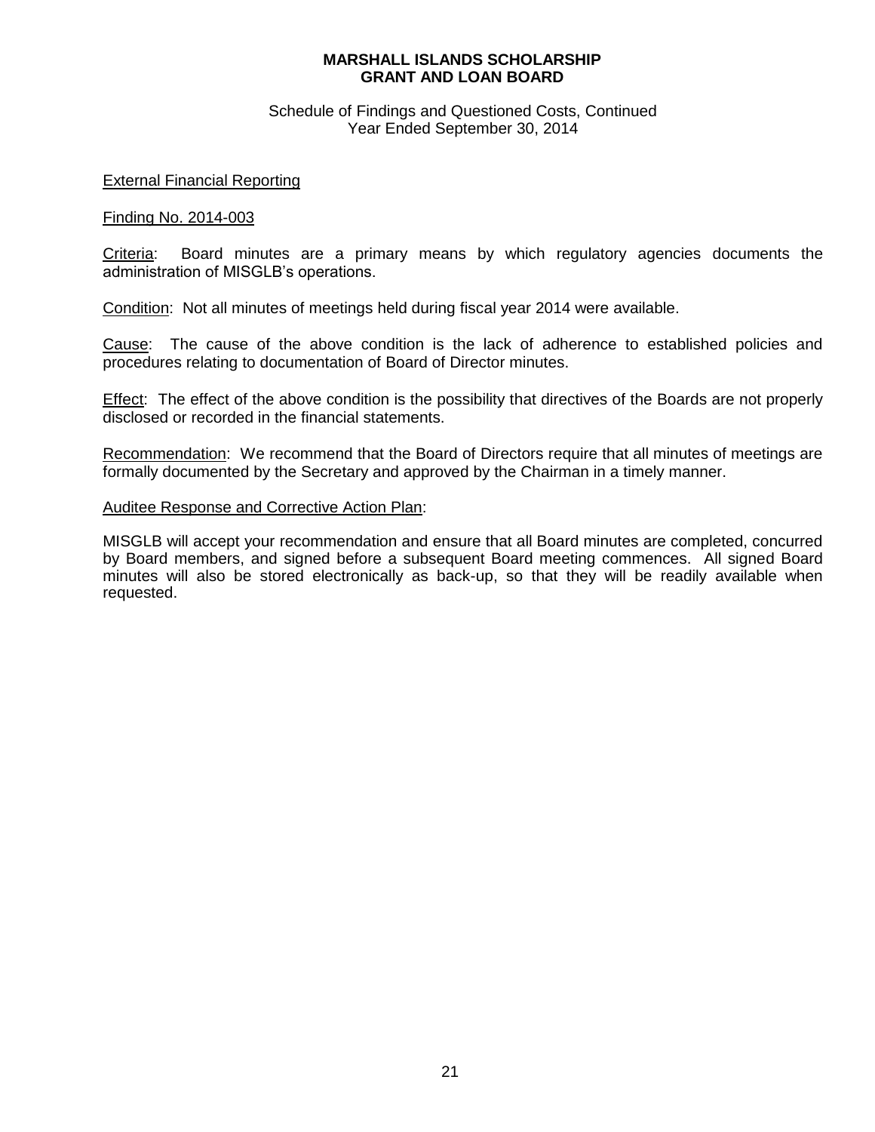Schedule of Findings and Questioned Costs, Continued Year Ended September 30, 2014

### External Financial Reporting

#### Finding No. 2014-003

Criteria: Board minutes are a primary means by which regulatory agencies documents the administration of MISGLB's operations.

Condition: Not all minutes of meetings held during fiscal year 2014 were available.

Cause: The cause of the above condition is the lack of adherence to established policies and procedures relating to documentation of Board of Director minutes.

Effect: The effect of the above condition is the possibility that directives of the Boards are not properly disclosed or recorded in the financial statements.

Recommendation: We recommend that the Board of Directors require that all minutes of meetings are formally documented by the Secretary and approved by the Chairman in a timely manner.

#### Auditee Response and Corrective Action Plan:

MISGLB will accept your recommendation and ensure that all Board minutes are completed, concurred by Board members, and signed before a subsequent Board meeting commences. All signed Board minutes will also be stored electronically as back-up, so that they will be readily available when requested.